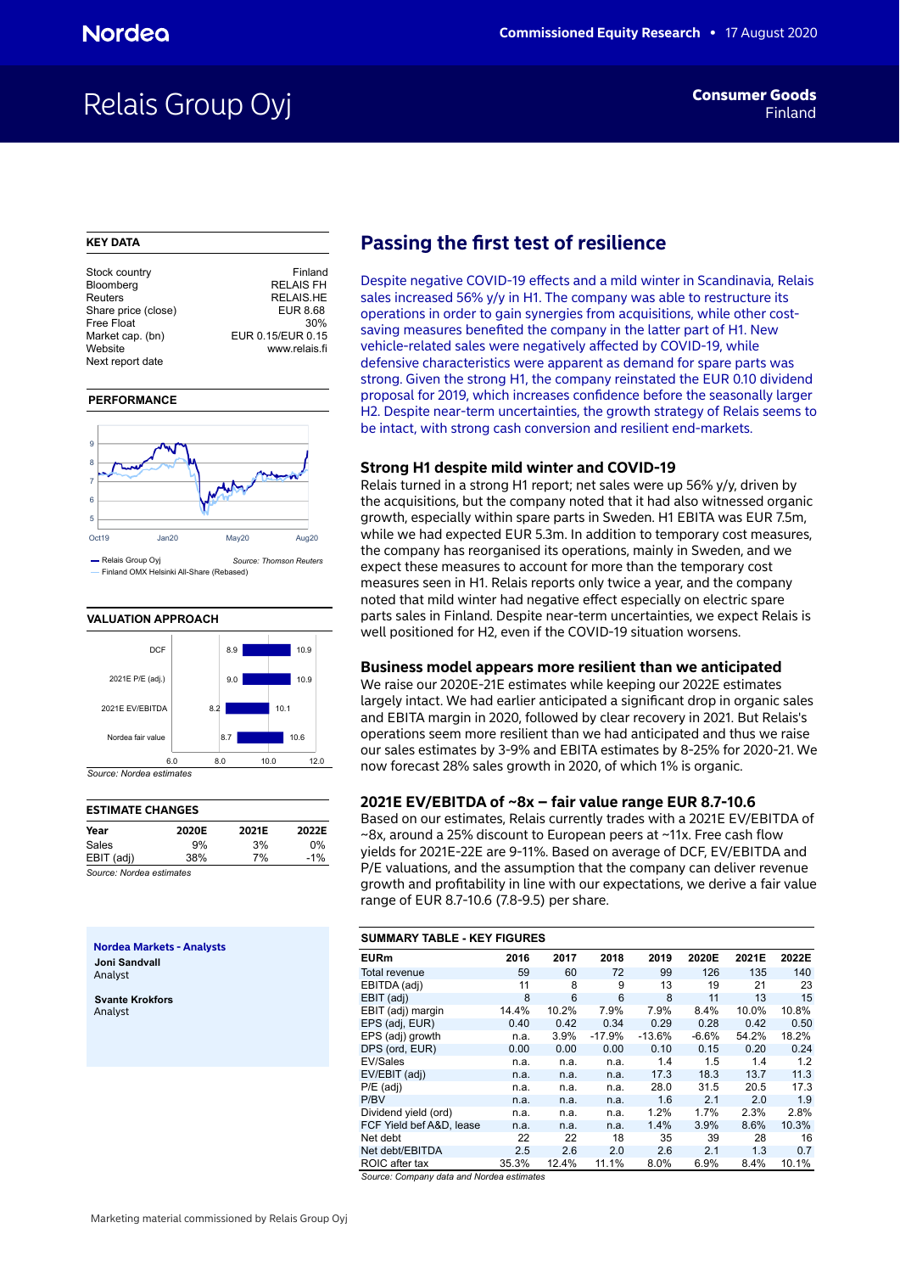## Relais Group Oyj **Finand**

#### **KEY DATA**

| Stock country       | Finland           |
|---------------------|-------------------|
| Bloomberg           | <b>RELAIS FH</b>  |
| Reuters             | <b>RELAIS.HE</b>  |
| Share price (close) | EUR 8.68          |
| Free Float          | 30%               |
| Market cap. (bn)    | EUR 0.15/EUR 0.15 |
| Website             | www.relais.fi     |
| Next report date    |                   |
|                     |                   |

#### **PERFORMANCE**



Finland OMX Helsinki All-Share (Rebased)



#### **ESTIMATE CHANGES Year 2020E 2021E 2022E** Sales 9% 3% 0% EBIT (adj) 38% 7% -1%

*Source: Nordea estimates*

**Nordea Markets - Analysts Joni Sandvall** Analyst

**Svante Krokfors** Analyst

## **Passing the first test of resilience**

Despite negative COVID-19 effects and a mild winter in Scandinavia, Relais sales increased 56% y/y in H1. The company was able to restructure its operations in order to gain synergies from acquisitions, while other costsaving measures benefited the company in the latter part of H1. New vehicle-related sales were negatively affected by COVID-19, while defensive characteristics were apparent as demand for spare parts was strong. Given the strong H1, the company reinstated the EUR 0.10 dividend proposal for 2019, which increases confidence before the seasonally larger H2. Despite near-term uncertainties, the growth strategy of Relais seems to be intact, with strong cash conversion and resilient end-markets.

### **Strong H1 despite mild winter and COVID-19**

Relais turned in a strong H1 report; net sales were up 56% y/y, driven by the acquisitions, but the company noted that it had also witnessed organic growth, especially within spare parts in Sweden. H1 EBITA was EUR 7.5m, while we had expected EUR 5.3m. In addition to temporary cost measures, the company has reorganised its operations, mainly in Sweden, and we expect these measures to account for more than the temporary cost measures seen in H1. Relais reports only twice a year, and the company noted that mild winter had negative effect especially on electric spare parts sales in Finland. Despite near-term uncertainties, we expect Relais is well positioned for H2, even if the COVID-19 situation worsens.

#### **Business model appears more resilient than we anticipated**

We raise our 2020E-21E estimates while keeping our 2022E estimates largely intact. We had earlier anticipated a significant drop in organic sales and EBITA margin in 2020, followed by clear recovery in 2021. But Relais's operations seem more resilient than we had anticipated and thus we raise our sales estimates by 3-9% and EBITA estimates by 8-25% for 2020-21. We now forecast 28% sales growth in 2020, of which 1% is organic.

#### **2021E EV/EBITDA of ~8x – fair value range EUR 8.7-10.6**

Based on our estimates, Relais currently trades with a 2021E EV/EBITDA of ~8x, around a 25% discount to European peers at ~11x. Free cash flow yields for 2021E-22E are 9-11%. Based on average of DCF, EV/EBITDA and P/E valuations, and the assumption that the company can deliver revenue growth and profitability in line with our expectations, we derive a fair value range of EUR 8.7-10.6 (7.8-9.5) per share.

#### **SUMMARY TABLE - KEY FIGURES**

| <b>EURm</b>              | 2016  | 2017  | 2018     | 2019     | 2020E   | 2021E | 2022E |
|--------------------------|-------|-------|----------|----------|---------|-------|-------|
| Total revenue            | 59    | 60    | 72       | 99       | 126     | 135   | 140   |
| EBITDA (adj)             | 11    | 8     | 9        | 13       | 19      | 21    | 23    |
| EBIT (adj)               | 8     | 6     | 6        | 8        | 11      | 13    | 15    |
| EBIT (adj) margin        | 14.4% | 10.2% | 7.9%     | 7.9%     | 8.4%    | 10.0% | 10.8% |
| EPS (adj, EUR)           | 0.40  | 0.42  | 0.34     | 0.29     | 0.28    | 0.42  | 0.50  |
| EPS (adj) growth         | n.a.  | 3.9%  | $-17.9%$ | $-13.6%$ | $-6.6%$ | 54.2% | 18.2% |
| DPS (ord, EUR)           | 0.00  | 0.00  | 0.00     | 0.10     | 0.15    | 0.20  | 0.24  |
| EV/Sales                 | n.a.  | n.a.  | n.a.     | 1.4      | 1.5     | 1.4   | 1.2   |
| EV/EBIT (adj)            | n.a.  | n.a.  | n.a.     | 17.3     | 18.3    | 13.7  | 11.3  |
| $P/E$ (adj)              | n.a.  | n.a.  | n.a.     | 28.0     | 31.5    | 20.5  | 17.3  |
| P/BV                     | n.a.  | n.a.  | n.a.     | 1.6      | 2.1     | 2.0   | 1.9   |
| Dividend yield (ord)     | n.a.  | n.a.  | n.a.     | 1.2%     | 1.7%    | 2.3%  | 2.8%  |
| FCF Yield bef A&D, lease | n.a.  | n.a.  | n.a.     | 1.4%     | 3.9%    | 8.6%  | 10.3% |
| Net debt                 | 22    | 22    | 18       | 35       | 39      | 28    | 16    |
| Net debt/EBITDA          | 2.5   | 2.6   | 2.0      | 2.6      | 2.1     | 1.3   | 0.7   |
| ROIC after tax           | 35.3% | 12.4% | 11.1%    | 8.0%     | 6.9%    | 8.4%  | 10.1% |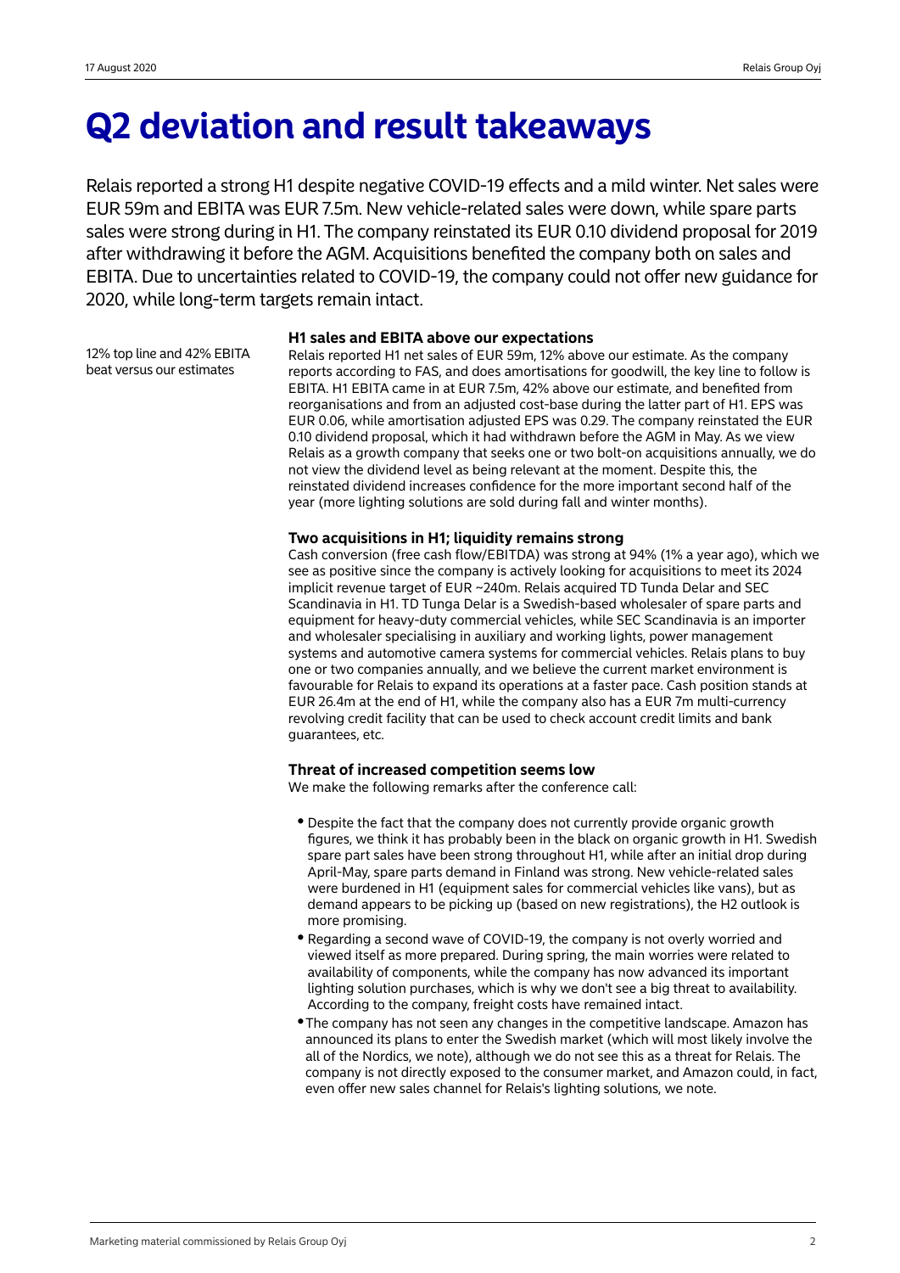## **Q2 deviation and result takeaways**

Relais reported a strong H1 despite negative COVID-19 effects and a mild winter. Net sales were EUR 59m and EBITA was EUR 7.5m. New vehicle-related sales were down, while spare parts sales were strong during in H1. The company reinstated its EUR 0.10 dividend proposal for 2019 after withdrawing it before the AGM. Acquisitions benefited the company both on sales and EBITA. Due to uncertainties related to COVID-19, the company could not offer new guidance for 2020, while long-term targets remain intact.

12% top line and 42% EBITA beat versus our estimates

### **H1 sales and EBITA above our expectations**

Relais reported H1 net sales of EUR 59m, 12% above our estimate. As the company reports according to FAS, and does amortisations for goodwill, the key line to follow is EBITA. H1 EBITA came in at EUR 7.5m, 42% above our estimate, and benefited from reorganisations and from an adjusted cost-base during the latter part of H1. EPS was EUR 0.06, while amortisation adjusted EPS was 0.29. The company reinstated the EUR 0.10 dividend proposal, which it had withdrawn before the AGM in May. As we view Relais as a growth company that seeks one or two bolt-on acquisitions annually, we do not view the dividend level as being relevant at the moment. Despite this, the reinstated dividend increases confidence for the more important second half of the year (more lighting solutions are sold during fall and winter months).

## **Two acquisitions in H1; liquidity remains strong**

Cash conversion (free cash flow/EBITDA) was strong at 94% (1% a year ago), which we see as positive since the company is actively looking for acquisitions to meet its 2024 implicit revenue target of EUR ~240m. Relais acquired TD Tunda Delar and SEC Scandinavia in H1. TD Tunga Delar is a Swedish-based wholesaler of spare parts and equipment for heavy-duty commercial vehicles, while SEC Scandinavia is an importer and wholesaler specialising in auxiliary and working lights, power management systems and automotive camera systems for commercial vehicles. Relais plans to buy one or two companies annually, and we believe the current market environment is favourable for Relais to expand its operations at a faster pace. Cash position stands at EUR 26.4m at the end of H1, while the company also has a EUR 7m multi-currency revolving credit facility that can be used to check account credit limits and bank guarantees, etc.

## **Threat of increased competition seems low**

We make the following remarks after the conference call:

- Despite the fact that the company does not currently provide organic growth figures, we think it has probably been in the black on organic growth in H1. Swedish spare part sales have been strong throughout H1, while after an initial drop during April-May, spare parts demand in Finland was strong. New vehicle-related sales were burdened in H1 (equipment sales for commercial vehicles like vans), but as demand appears to be picking up (based on new registrations), the H2 outlook is more promising.
- Regarding a second wave of COVID-19, the company is not overly worried and viewed itself as more prepared. During spring, the main worries were related to availability of components, while the company has now advanced its important lighting solution purchases, which is why we don't see a big threat to availability. According to the company, freight costs have remained intact.
- The company has not seen any changes in the competitive landscape. Amazon has announced its plans to enter the Swedish market (which will most likely involve the all of the Nordics, we note), although we do not see this as a threat for Relais. The company is not directly exposed to the consumer market, and Amazon could, in fact, even offer new sales channel for Relais's lighting solutions, we note.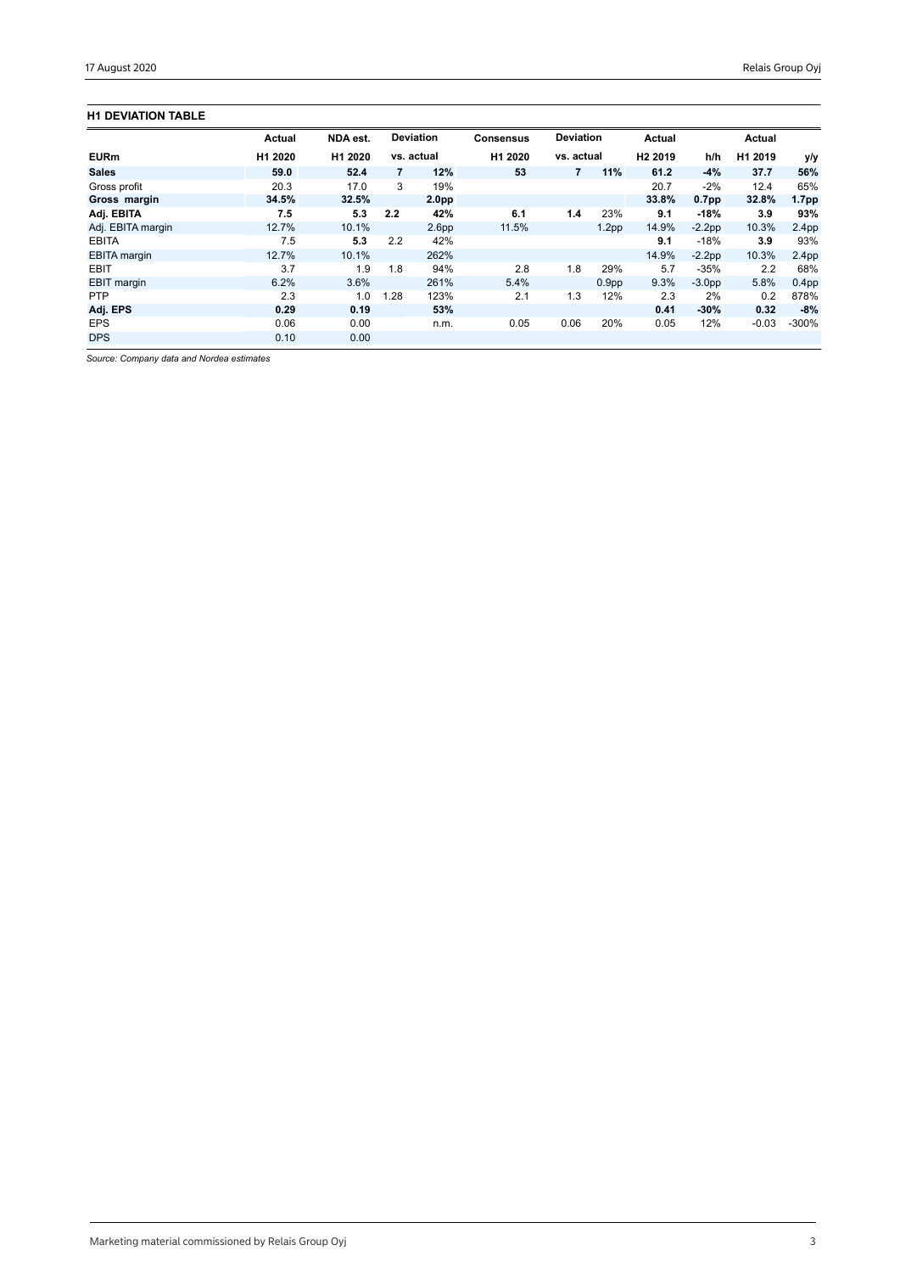## **H1 DEVIATION TABLE**

|                     | <b>Actual</b> | NDA est. |      | <b>Deviation</b>  | <b>Consensus</b> | <b>Deviation</b> |                   | Actual              |                   | Actual  |                   |
|---------------------|---------------|----------|------|-------------------|------------------|------------------|-------------------|---------------------|-------------------|---------|-------------------|
| <b>EURm</b>         | H1 2020       | H1 2020  |      | vs. actual        | H1 2020          | vs. actual       |                   | H <sub>2</sub> 2019 | h/h               | H1 2019 | y/y               |
| <b>Sales</b>        | 59.0          | 52.4     | 7    | 12%               | 53               | 7                | 11%               | 61.2                | $-4%$             | 37.7    | 56%               |
| Gross profit        | 20.3          | 17.0     | 3    | 19%               |                  |                  |                   | 20.7                | $-2%$             | 12.4    | 65%               |
| Gross margin        | 34.5%         | 32.5%    |      | 2.0 <sub>pp</sub> |                  |                  |                   | 33.8%               | 0.7 <sub>pp</sub> | 32.8%   | 1.7 <sub>pp</sub> |
| Adj. EBITA          | 7.5           | 5.3      | 2.2  | 42%               | 6.1              | 1.4              | 23%               | 9.1                 | $-18%$            | 3.9     | 93%               |
| Adj. EBITA margin   | 12.7%         | 10.1%    |      | 2.6 <sub>pp</sub> | 11.5%            |                  | 1.2 <sub>pp</sub> | 14.9%               | $-2.2pp$          | 10.3%   | 2.4 <sub>pp</sub> |
| <b>EBITA</b>        | 7.5           | 5.3      | 2.2  | 42%               |                  |                  |                   | 9.1                 | $-18%$            | 3.9     | 93%               |
| <b>EBITA</b> margin | 12.7%         | 10.1%    |      | 262%              |                  |                  |                   | 14.9%               | $-2.2pp$          | 10.3%   | 2.4 <sub>pp</sub> |
| <b>EBIT</b>         | 3.7           | 1.9      | 1.8  | 94%               | 2.8              | 1.8              | 29%               | 5.7                 | $-35%$            | 2.2     | 68%               |
| <b>EBIT</b> margin  | 6.2%          | 3.6%     |      | 261%              | 5.4%             |                  | 0.9 <sub>pp</sub> | 9.3%                | $-3.0pp$          | 5.8%    | 0.4 <sub>pp</sub> |
| <b>PTP</b>          | 2.3           | 1.0      | 1.28 | 123%              | 2.1              | 1.3              | 12%               | 2.3                 | 2%                | 0.2     | 878%              |
| Adj. EPS            | 0.29          | 0.19     |      | 53%               |                  |                  |                   | 0.41                | $-30%$            | 0.32    | $-8%$             |
| <b>EPS</b>          | 0.06          | 0.00     |      | n.m.              | 0.05             | 0.06             | 20%               | 0.05                | 12%               | $-0.03$ | $-300%$           |
| <b>DPS</b>          | 0.10          | 0.00     |      |                   |                  |                  |                   |                     |                   |         |                   |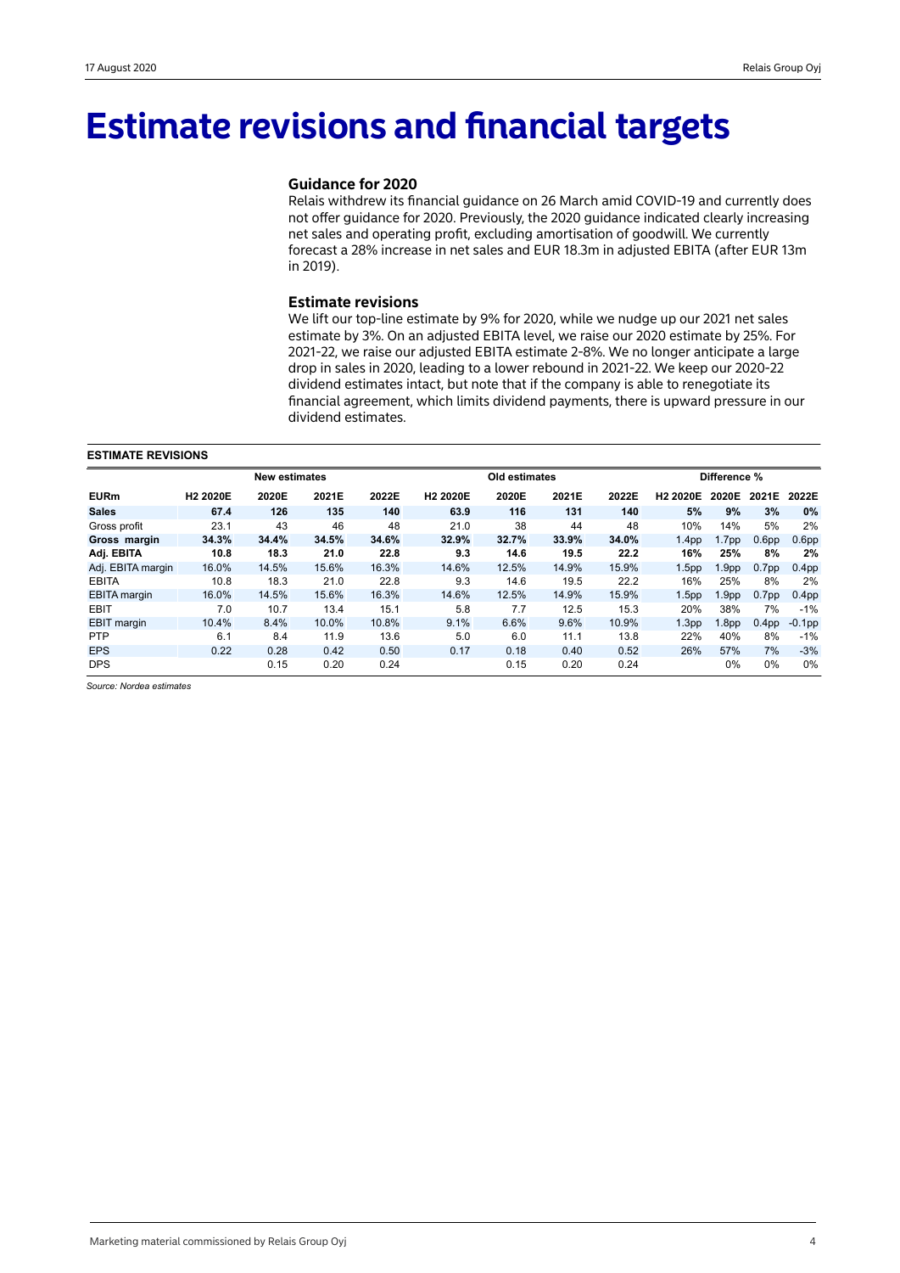## **Estimate revisions and financial targets**

### **Guidance for 2020**

Relais withdrew its financial guidance on 26 March amid COVID-19 and currently does not offer guidance for 2020. Previously, the 2020 guidance indicated clearly increasing net sales and operating profit, excluding amortisation of goodwill. We currently forecast a 28% increase in net sales and EUR 18.3m in adjusted EBITA (after EUR 13m in 2019).

### **Estimate revisions**

We lift our top-line estimate by 9% for 2020, while we nudge up our 2021 net sales estimate by 3%. On an adjusted EBITA level, we raise our 2020 estimate by 25%. For 2021-22, we raise our adjusted EBITA estimate 2-8%. We no longer anticipate a large drop in sales in 2020, leading to a lower rebound in 2021-22. We keep our 2020-22 dividend estimates intact, but note that if the company is able to renegotiate its financial agreement, which limits dividend payments, there is upward pressure in our dividend estimates.

#### **ESTIMATE REVISIONS**

|                     |                      | <b>New estimates</b> |       |       |                      | Old estimates |       |       |                      | Difference %      |                   |                   |
|---------------------|----------------------|----------------------|-------|-------|----------------------|---------------|-------|-------|----------------------|-------------------|-------------------|-------------------|
| <b>EURm</b>         | H <sub>2</sub> 2020E | 2020E                | 2021E | 2022E | H <sub>2</sub> 2020E | 2020E         | 2021E | 2022E | H <sub>2</sub> 2020E | 2020E             | 2021E             | 2022E             |
| <b>Sales</b>        | 67.4                 | 126                  | 135   | 140   | 63.9                 | 116           | 131   | 140   | 5%                   | 9%                | 3%                | $0\%$             |
| Gross profit        | 23.1                 | 43                   | 46    | 48    | 21.0                 | 38            | 44    | 48    | 10%                  | 14%               | 5%                | 2%                |
| Gross margin        | 34.3%                | 34.4%                | 34.5% | 34.6% | 32.9%                | 32.7%         | 33.9% | 34.0% | 1.4 <sub>pp</sub>    | 1.7 <sub>pp</sub> | 0.6 <sub>pp</sub> | 0.6 <sub>pp</sub> |
| Adj. EBITA          | 10.8                 | 18.3                 | 21.0  | 22.8  | 9.3                  | 14.6          | 19.5  | 22.2  | 16%                  | 25%               | 8%                | 2%                |
| Adj. EBITA margin   | 16.0%                | 14.5%                | 15.6% | 16.3% | 14.6%                | 12.5%         | 14.9% | 15.9% | 1.5 <sub>pp</sub>    | 1.9 <sub>pp</sub> | 0.7 <sub>pp</sub> | 0.4 <sub>pp</sub> |
| <b>EBITA</b>        | 10.8                 | 18.3                 | 21.0  | 22.8  | 9.3                  | 14.6          | 19.5  | 22.2  | 16%                  | 25%               | 8%                | 2%                |
| <b>EBITA</b> margin | 16.0%                | 14.5%                | 15.6% | 16.3% | 14.6%                | 12.5%         | 14.9% | 15.9% | 1.5 <sub>pp</sub>    | 1.9 <sub>pp</sub> | 0.7 <sub>pp</sub> | 0.4 <sub>pp</sub> |
| <b>EBIT</b>         | 7.0                  | 10.7                 | 13.4  | 15.1  | 5.8                  | 7.7           | 12.5  | 15.3  | 20%                  | 38%               | 7%                | $-1%$             |
| <b>EBIT</b> margin  | 10.4%                | 8.4%                 | 10.0% | 10.8% | 9.1%                 | 6.6%          | 9.6%  | 10.9% | 1.3 <sub>pp</sub>    | 1.8 <sub>pp</sub> | 0.4 <sub>pp</sub> | $-0.1$ pp         |
| <b>PTP</b>          | 6.1                  | 8.4                  | 11.9  | 13.6  | 5.0                  | 6.0           | 11.1  | 13.8  | 22%                  | 40%               | 8%                | $-1%$             |
| <b>EPS</b>          | 0.22                 | 0.28                 | 0.42  | 0.50  | 0.17                 | 0.18          | 0.40  | 0.52  | 26%                  | 57%               | 7%                | $-3%$             |
| <b>DPS</b>          |                      | 0.15                 | 0.20  | 0.24  |                      | 0.15          | 0.20  | 0.24  |                      | $0\%$             | 0%                | 0%                |

*Source: Nordea estimates*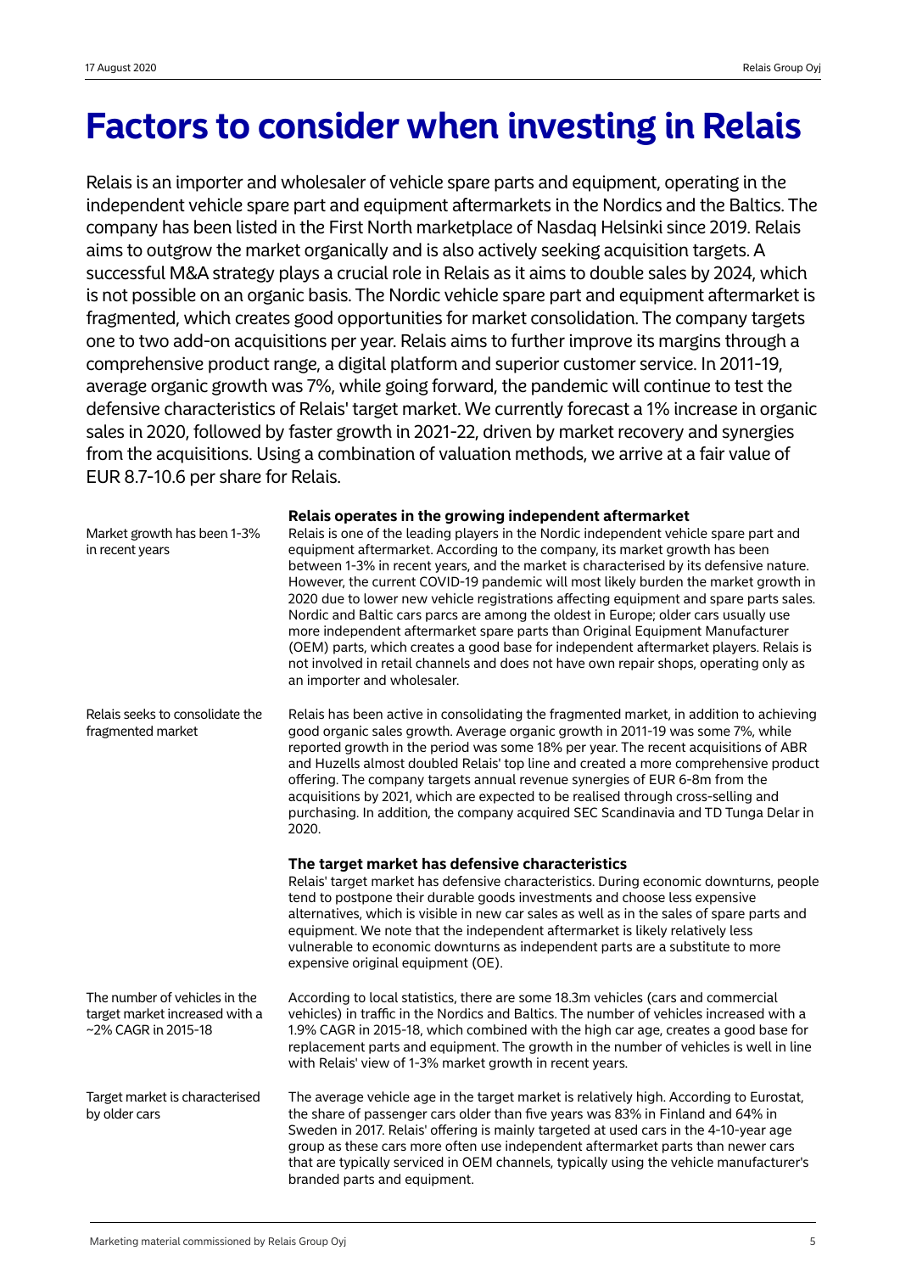## **Factors to consider when investing in Relais**

Relais is an importer and wholesaler of vehicle spare parts and equipment, operating in the independent vehicle spare part and equipment aftermarkets in the Nordics and the Baltics. The company has been listed in the First North marketplace of Nasdaq Helsinki since 2019. Relais aims to outgrow the market organically and is also actively seeking acquisition targets. A successful M&A strategy plays a crucial role in Relais as it aims to double sales by 2024, which is not possible on an organic basis. The Nordic vehicle spare part and equipment aftermarket is fragmented, which creates good opportunities for market consolidation. The company targets one to two add-on acquisitions per year. Relais aims to further improve its margins through a comprehensive product range, a digital platform and superior customer service. In 2011-19, average organic growth was 7%, while going forward, the pandemic will continue to test the defensive characteristics of Relais' target market. We currently forecast a 1% increase in organic sales in 2020, followed by faster growth in 2021-22, driven by market recovery and synergies from the acquisitions. Using a combination of valuation methods, we arrive at a fair value of EUR 8.7-10.6 per share for Relais.

| Market growth has been 1-3%<br>in recent years                                         | Relais operates in the growing independent aftermarket<br>Relais is one of the leading players in the Nordic independent vehicle spare part and<br>equipment aftermarket. According to the company, its market growth has been<br>between 1-3% in recent years, and the market is characterised by its defensive nature.<br>However, the current COVID-19 pandemic will most likely burden the market growth in<br>2020 due to lower new vehicle registrations affecting equipment and spare parts sales.<br>Nordic and Baltic cars parcs are among the oldest in Europe; older cars usually use<br>more independent aftermarket spare parts than Original Equipment Manufacturer<br>(OEM) parts, which creates a good base for independent aftermarket players. Relais is<br>not involved in retail channels and does not have own repair shops, operating only as<br>an importer and wholesaler. |
|----------------------------------------------------------------------------------------|----------------------------------------------------------------------------------------------------------------------------------------------------------------------------------------------------------------------------------------------------------------------------------------------------------------------------------------------------------------------------------------------------------------------------------------------------------------------------------------------------------------------------------------------------------------------------------------------------------------------------------------------------------------------------------------------------------------------------------------------------------------------------------------------------------------------------------------------------------------------------------------------------|
| Relais seeks to consolidate the<br>fragmented market                                   | Relais has been active in consolidating the fragmented market, in addition to achieving<br>good organic sales growth. Average organic growth in 2011-19 was some 7%, while<br>reported growth in the period was some 18% per year. The recent acquisitions of ABR<br>and Huzells almost doubled Relais' top line and created a more comprehensive product<br>offering. The company targets annual revenue synergies of EUR 6-8m from the<br>acquisitions by 2021, which are expected to be realised through cross-selling and<br>purchasing. In addition, the company acquired SEC Scandinavia and TD Tunga Delar in<br>2020.                                                                                                                                                                                                                                                                      |
|                                                                                        | The target market has defensive characteristics<br>Relais' target market has defensive characteristics. During economic downturns, people<br>tend to postpone their durable goods investments and choose less expensive                                                                                                                                                                                                                                                                                                                                                                                                                                                                                                                                                                                                                                                                            |
|                                                                                        | alternatives, which is visible in new car sales as well as in the sales of spare parts and<br>equipment. We note that the independent aftermarket is likely relatively less<br>vulnerable to economic downturns as independent parts are a substitute to more<br>expensive original equipment (OE).                                                                                                                                                                                                                                                                                                                                                                                                                                                                                                                                                                                                |
| The number of vehicles in the<br>target market increased with a<br>~2% CAGR in 2015-18 | According to local statistics, there are some 18.3m vehicles (cars and commercial<br>vehicles) in traffic in the Nordics and Baltics. The number of vehicles increased with a<br>1.9% CAGR in 2015-18, which combined with the high car age, creates a good base for<br>replacement parts and equipment. The growth in the number of vehicles is well in line<br>with Relais' view of 1-3% market growth in recent years.                                                                                                                                                                                                                                                                                                                                                                                                                                                                          |

### **Relais operates in the growing independent aftermarket**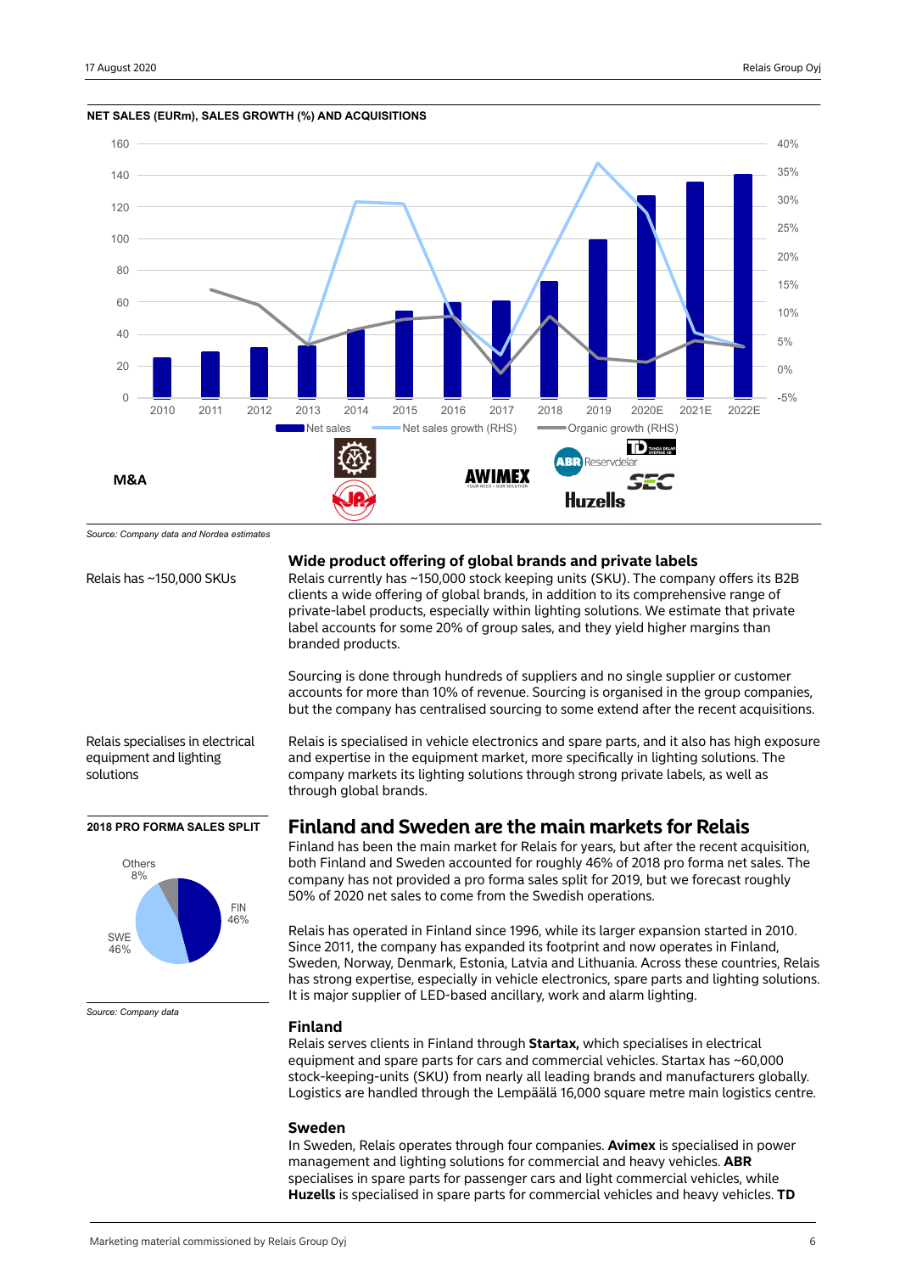

**NET SALES (EURm), SALES GROWTH (%) AND ACQUISITIONS**

*Source: Company data and Nordea estimates*

Relais specialises in electrical equipment and lighting solutions

#### **2018 PRO FORMA SALES SPLIT**



*Source: Company data*

#### **Wide product offering of global brands and private labels**

Relais has ~150,000 SKUs Relais currently has ~150,000 stock keeping units (SKU). The company offers its B2B clients a wide offering of global brands, in addition to its comprehensive range of private-label products, especially within lighting solutions. We estimate that private label accounts for some 20% of group sales, and they yield higher margins than branded products.

> Sourcing is done through hundreds of suppliers and no single supplier or customer accounts for more than 10% of revenue. Sourcing is organised in the group companies, but the company has centralised sourcing to some extend after the recent acquisitions.

Relais is specialised in vehicle electronics and spare parts, and it also has high exposure and expertise in the equipment market, more specifically in lighting solutions. The company markets its lighting solutions through strong private labels, as well as through global brands.

## **Finland and Sweden are the main markets for Relais**

Finland has been the main market for Relais for years, but after the recent acquisition, both Finland and Sweden accounted for roughly 46% of 2018 pro forma net sales. The company has not provided a pro forma sales split for 2019, but we forecast roughly 50% of 2020 net sales to come from the Swedish operations.

Relais has operated in Finland since 1996, while its larger expansion started in 2010. Since 2011, the company has expanded its footprint and now operates in Finland, Sweden, Norway, Denmark, Estonia, Latvia and Lithuania. Across these countries, Relais has strong expertise, especially in vehicle electronics, spare parts and lighting solutions. It is major supplier of LED-based ancillary, work and alarm lighting.

#### **Finland**

Relais serves clients in Finland through **Startax,** which specialises in electrical equipment and spare parts for cars and commercial vehicles. Startax has ~60,000 stock-keeping-units (SKU) from nearly all leading brands and manufacturers globally. Logistics are handled through the Lempäälä 16,000 square metre main logistics centre.

#### **Sweden**

In Sweden, Relais operates through four companies. **Avimex** is specialised in power management and lighting solutions for commercial and heavy vehicles. **ABR**  specialises in spare parts for passenger cars and light commercial vehicles, while **Huzells** is specialised in spare parts for commercial vehicles and heavy vehicles. **TD**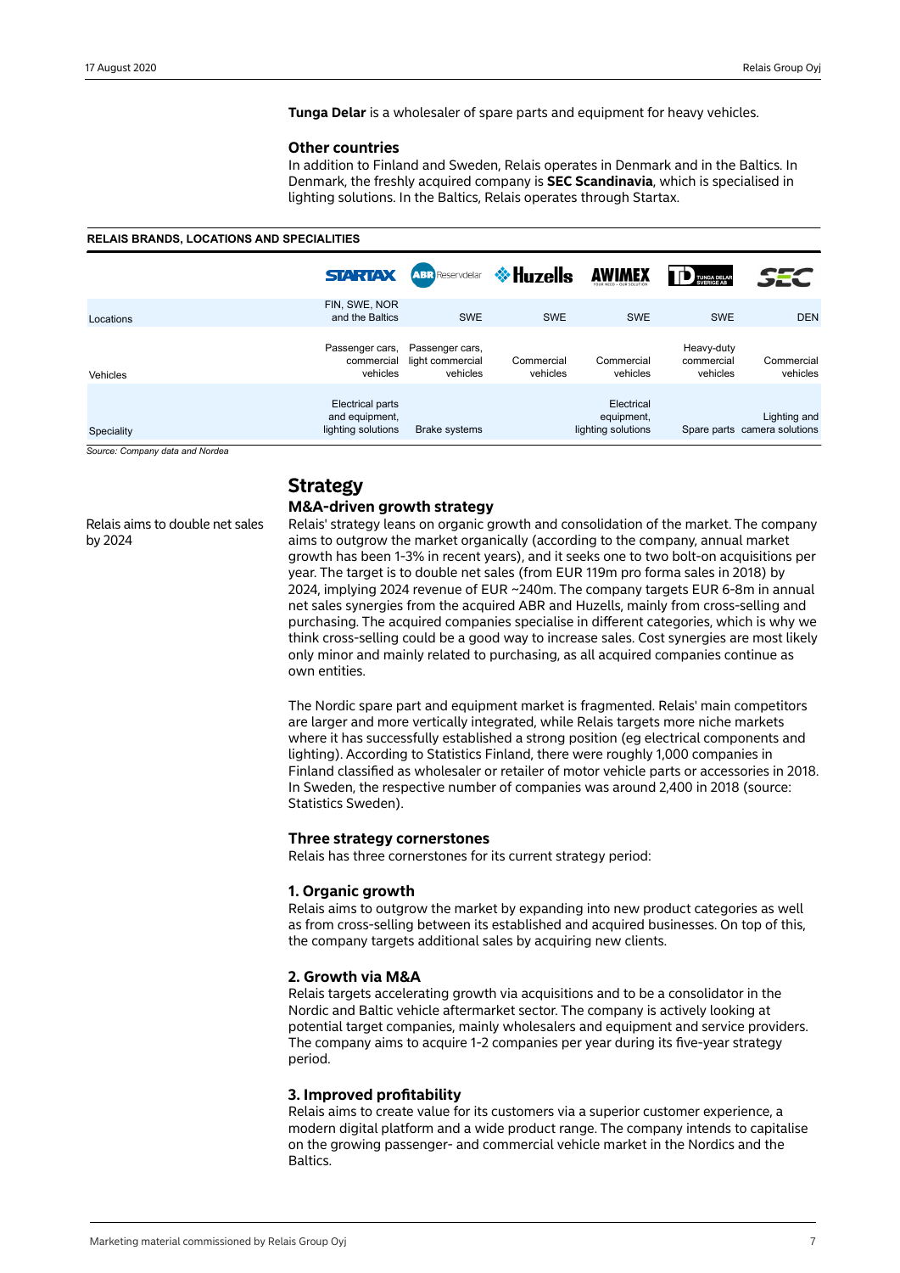**Tunga Delar** is a wholesaler of spare parts and equipment for heavy vehicles.

#### **Other countries**

In addition to Finland and Sweden, Relais operates in Denmark and in the Baltics. In Denmark, the freshly acquired company is **SEC Scandinavia**, which is specialised in lighting solutions. In the Baltics, Relais operates through Startax.

#### **RELAIS BRANDS, LOCATIONS AND SPECIALITIES**

|            | <b>STARTAX</b>                                           | <b>ABR</b> Reservdelar                          | I <sup>†</sup> Huzells | <b>AWIMEX</b>                                  | TUNGA DELAR<br>SVERIGE AB            | SEC                                          |
|------------|----------------------------------------------------------|-------------------------------------------------|------------------------|------------------------------------------------|--------------------------------------|----------------------------------------------|
| Locations  | FIN, SWE, NOR<br>and the Baltics                         | <b>SWE</b>                                      | <b>SWE</b>             | <b>SWE</b>                                     | <b>SWE</b>                           | <b>DEN</b>                                   |
| Vehicles   | Passenger cars,<br>commercial<br>vehicles                | Passenger cars,<br>light commercial<br>vehicles | Commercial<br>vehicles | Commercial<br>vehicles                         | Heavy-duty<br>commercial<br>vehicles | Commercial<br>vehicles                       |
| Speciality | Electrical parts<br>and equipment,<br>lighting solutions | <b>Brake systems</b>                            |                        | Electrical<br>equipment,<br>lighting solutions |                                      | Lighting and<br>Spare parts camera solutions |

*Source: Company data and Nordea*

by 2024

Relais aims to double net sales

## **Strategy**

## **M&A-driven growth strategy**

Relais' strategy leans on organic growth and consolidation of the market. The company aims to outgrow the market organically (according to the company, annual market growth has been 1-3% in recent years), and it seeks one to two bolt-on acquisitions per year. The target is to double net sales (from EUR 119m pro forma sales in 2018) by 2024, implying 2024 revenue of EUR ~240m. The company targets EUR 6-8m in annual net sales synergies from the acquired ABR and Huzells, mainly from cross-selling and purchasing. The acquired companies specialise in different categories, which is why we think cross-selling could be a good way to increase sales. Cost synergies are most likely only minor and mainly related to purchasing, as all acquired companies continue as own entities.

The Nordic spare part and equipment market is fragmented. Relais' main competitors are larger and more vertically integrated, while Relais targets more niche markets where it has successfully established a strong position (eg electrical components and lighting). According to Statistics Finland, there were roughly 1,000 companies in Finland classified as wholesaler or retailer of motor vehicle parts or accessories in 2018. In Sweden, the respective number of companies was around 2,400 in 2018 (source: Statistics Sweden).

#### **Three strategy cornerstones**

Relais has three cornerstones for its current strategy period:

## **1. Organic growth**

Relais aims to outgrow the market by expanding into new product categories as well as from cross-selling between its established and acquired businesses. On top of this, the company targets additional sales by acquiring new clients.

#### **2. Growth via M&A**

Relais targets accelerating growth via acquisitions and to be a consolidator in the Nordic and Baltic vehicle aftermarket sector. The company is actively looking at potential target companies, mainly wholesalers and equipment and service providers. The company aims to acquire 1-2 companies per year during its five-year strategy period.

#### **3. Improved profitability**

Relais aims to create value for its customers via a superior customer experience, a modern digital platform and a wide product range. The company intends to capitalise on the growing passenger- and commercial vehicle market in the Nordics and the Baltics.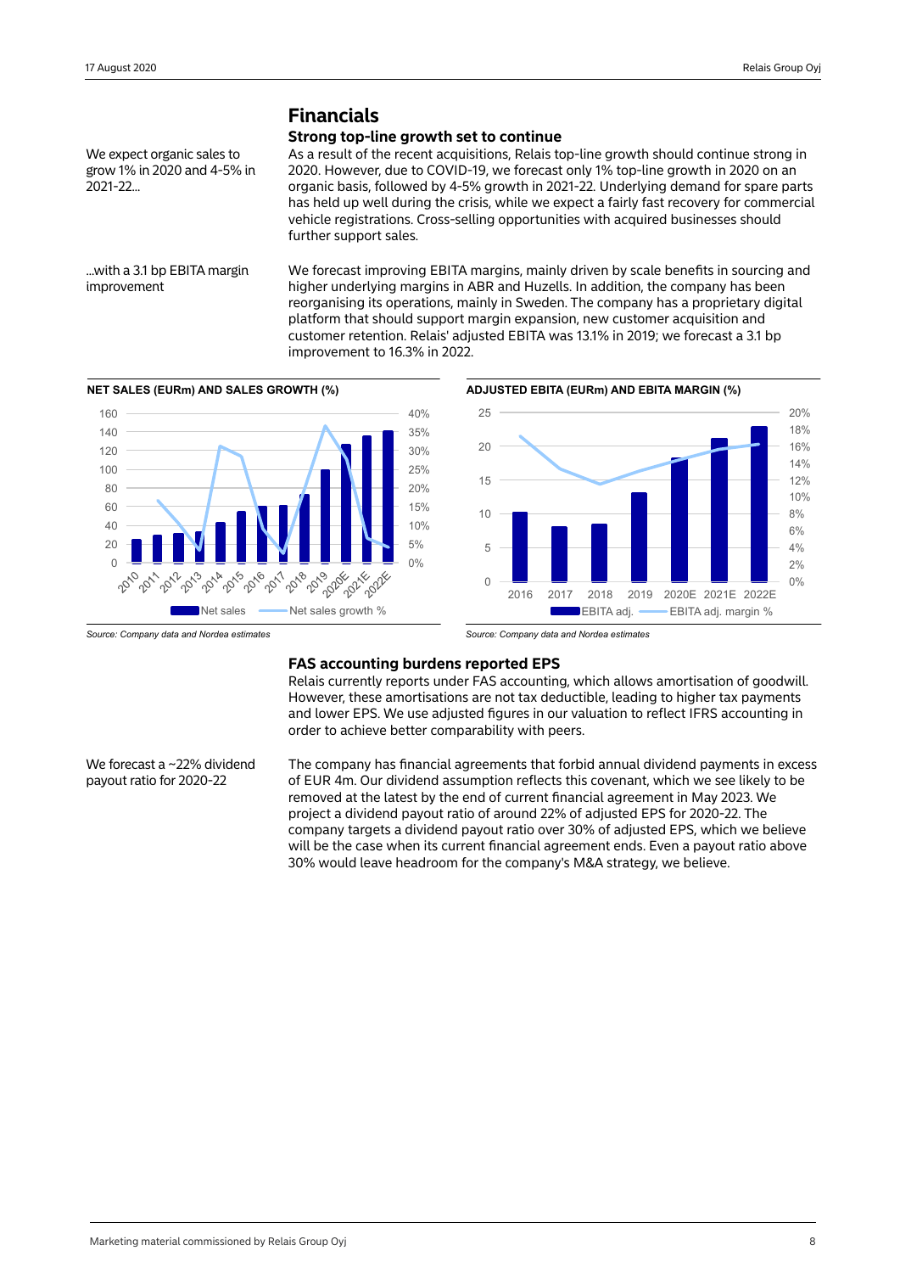## **Financials**

### **Strong top-line growth set to continue**

We expect organic sales to grow 1% in 2020 and 4-5% in 2021-22...

As a result of the recent acquisitions, Relais top-line growth should continue strong in 2020. However, due to COVID-19, we forecast only 1% top-line growth in 2020 on an organic basis, followed by 4-5% growth in 2021-22. Underlying demand for spare parts has held up well during the crisis, while we expect a fairly fast recovery for commercial vehicle registrations. Cross-selling opportunities with acquired businesses should further support sales.

...with a 3.1 bp EBITA margin improvement

We forecast improving EBITA margins, mainly driven by scale benefits in sourcing and higher underlying margins in ABR and Huzells. In addition, the company has been reorganising its operations, mainly in Sweden. The company has a proprietary digital platform that should support margin expansion, new customer acquisition and customer retention. Relais' adjusted EBITA was 13.1% in 2019; we forecast a 3.1 bp improvement to 16.3% in 2022.





*Source: Company data and Nordea estimates*

## **FAS accounting burdens reported EPS**

Relais currently reports under FAS accounting, which allows amortisation of goodwill. However, these amortisations are not tax deductible, leading to higher tax payments and lower EPS. We use adjusted figures in our valuation to reflect IFRS accounting in order to achieve better comparability with peers.

We forecast a ~22% dividend payout ratio for 2020-22

The company has financial agreements that forbid annual dividend payments in excess of EUR 4m. Our dividend assumption reflects this covenant, which we see likely to be removed at the latest by the end of current financial agreement in May 2023. We project a dividend payout ratio of around 22% of adjusted EPS for 2020-22. The company targets a dividend payout ratio over 30% of adjusted EPS, which we believe will be the case when its current financial agreement ends. Even a payout ratio above 30% would leave headroom for the company's M&A strategy, we believe.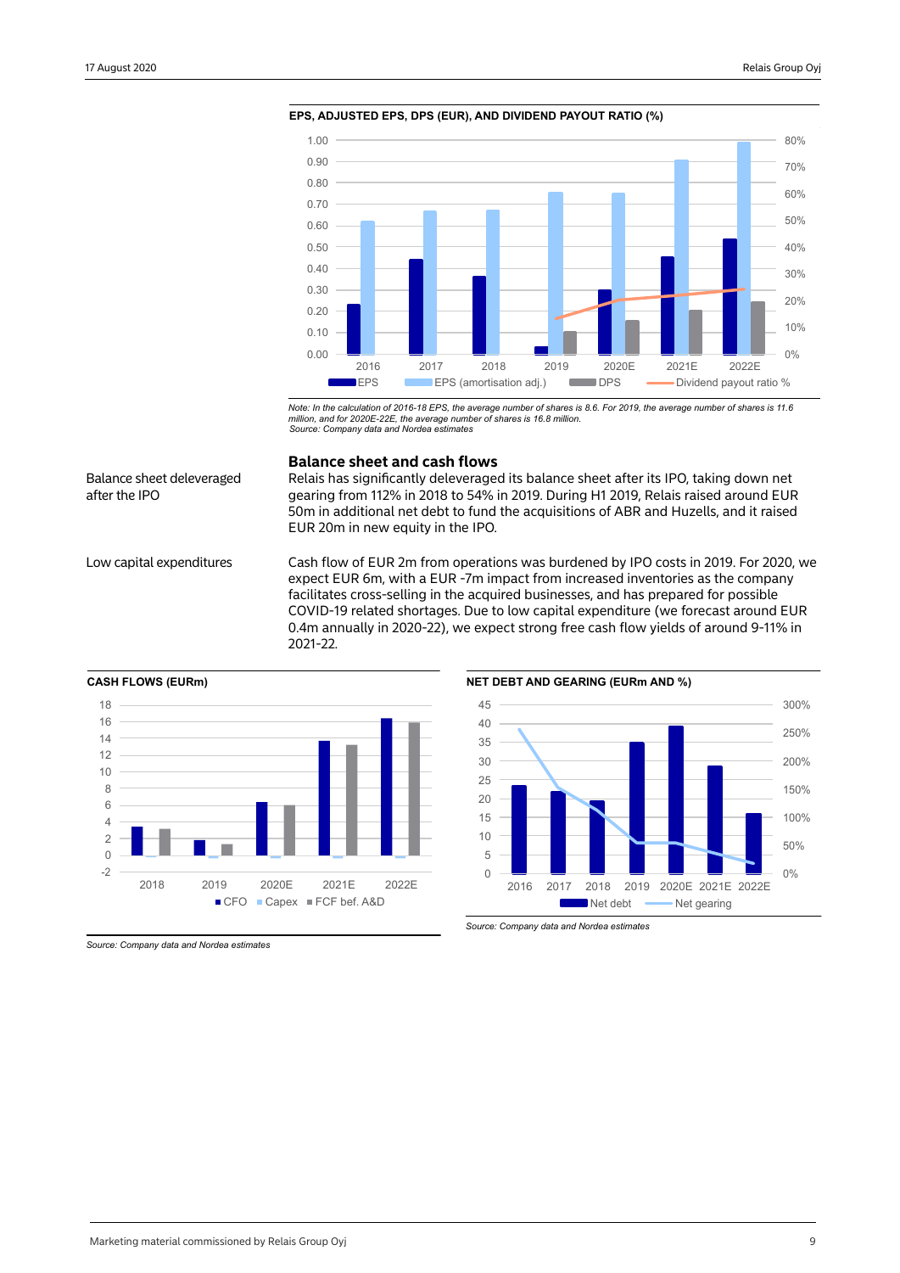

**EPS, ADJUSTED EPS, DPS (EUR), AND DIVIDEND PAYOUT RATIO (%)**

*Note: In the calculation of 2016-18 EPS, the average number of shares is 8.6. For 2019, the average number of shares is 11.6 million, and for 2020E-22E, the average number of shares is 16.8 million. Source: Company data and Nordea estimates*

## Balance sheet deleveraged after the IPO

#### **Balance sheet and cash flows**

Relais has significantly deleveraged its balance sheet after its IPO, taking down net gearing from 112% in 2018 to 54% in 2019. During H1 2019, Relais raised around EUR 50m in additional net debt to fund the acquisitions of ABR and Huzells, and it raised EUR 20m in new equity in the IPO.

Low capital expenditures Cash flow of EUR 2m from operations was burdened by IPO costs in 2019. For 2020, we expect EUR 6m, with a EUR -7m impact from increased inventories as the company facilitates cross-selling in the acquired businesses, and has prepared for possible COVID-19 related shortages. Due to low capital expenditure (we forecast around EUR 0.4m annually in 2020-22), we expect strong free cash flow yields of around 9-11% in 2021-22.







*Source: Company data and Nordea estimates*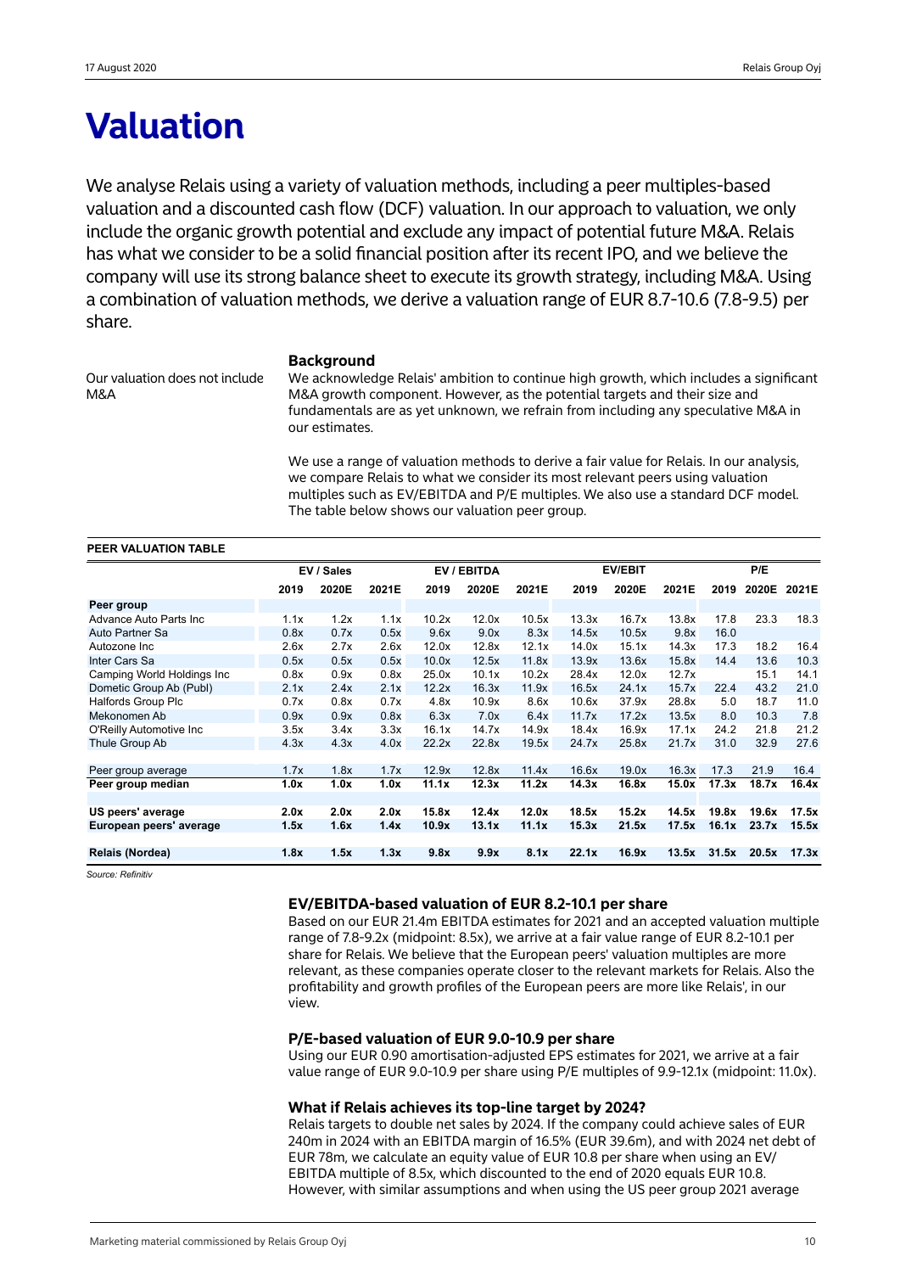## **Valuation**

We analyse Relais using a variety of valuation methods, including a peer multiples-based valuation and a discounted cash flow (DCF) valuation. In our approach to valuation, we only include the organic growth potential and exclude any impact of potential future M&A. Relais has what we consider to be a solid financial position after its recent IPO, and we believe the company will use its strong balance sheet to execute its growth strategy, including M&A. Using a combination of valuation methods, we derive a valuation range of EUR 8.7-10.6 (7.8-9.5) per share.

Our valuation does not include M&A

#### **Background**

We acknowledge Relais' ambition to continue high growth, which includes a significant M&A growth component. However, as the potential targets and their size and fundamentals are as yet unknown, we refrain from including any speculative M&A in our estimates.

We use a range of valuation methods to derive a fair value for Relais. In our analysis, we compare Relais to what we consider its most relevant peers using valuation multiples such as EV/EBITDA and P/E multiples. We also use a standard DCF model. The table below shows our valuation peer group.

## **PEER VALUATION TABLE**

|                             |      | EV / Sales |       |       | EV / EBITDA |       |       | <b>EV/EBIT</b> |       |       | P/E   |       |
|-----------------------------|------|------------|-------|-------|-------------|-------|-------|----------------|-------|-------|-------|-------|
|                             | 2019 | 2020E      | 2021E | 2019  | 2020E       | 2021E | 2019  | 2020E          | 2021E | 2019  | 2020E | 2021E |
| Peer group                  |      |            |       |       |             |       |       |                |       |       |       |       |
| Advance Auto Parts Inc      | 1.1x | 1.2x       | 1.1x  | 10.2x | 12.0x       | 10.5x | 13.3x | 16.7x          | 13.8x | 17.8  | 23.3  | 18.3  |
| Auto Partner Sa             | 0.8x | 0.7x       | 0.5x  | 9.6x  | 9.0x        | 8.3x  | 14.5x | 10.5x          | 9.8x  | 16.0  |       |       |
| Autozone Inc                | 2.6x | 2.7x       | 2.6x  | 12.0x | 12.8x       | 12.1x | 14.0x | 15.1x          | 14.3x | 17.3  | 18.2  | 16.4  |
| Inter Cars Sa               | 0.5x | 0.5x       | 0.5x  | 10.0x | 12.5x       | 11.8x | 13.9x | 13.6x          | 15.8x | 14.4  | 13.6  | 10.3  |
| Camping World Holdings Inc. | 0.8x | 0.9x       | 0.8x  | 25.0x | 10.1x       | 10.2x | 28.4x | 12.0x          | 12.7x |       | 15.1  | 14.1  |
| Dometic Group Ab (Publ)     | 2.1x | 2.4x       | 2.1x  | 12.2x | 16.3x       | 11.9x | 16.5x | 24.1x          | 15.7x | 22.4  | 43.2  | 21.0  |
| <b>Halfords Group Plc</b>   | 0.7x | 0.8x       | 0.7x  | 4.8x  | 10.9x       | 8.6x  | 10.6x | 37.9x          | 28.8x | 5.0   | 18.7  | 11.0  |
| Mekonomen Ab                | 0.9x | 0.9x       | 0.8x  | 6.3x  | 7.0x        | 6.4x  | 11.7x | 17.2x          | 13.5x | 8.0   | 10.3  | 7.8   |
| O'Reilly Automotive Inc.    | 3.5x | 3.4x       | 3.3x  | 16.1x | 14.7x       | 14.9x | 18.4x | 16.9x          | 17.1x | 24.2  | 21.8  | 21.2  |
| Thule Group Ab              | 4.3x | 4.3x       | 4.0x  | 22.2x | 22.8x       | 19.5x | 24.7x | 25.8x          | 21.7x | 31.0  | 32.9  | 27.6  |
|                             |      |            |       |       |             |       |       |                |       |       |       |       |
| Peer group average          | 1.7x | 1.8x       | 1.7x  | 12.9x | 12.8x       | 11.4x | 16.6x | 19.0x          | 16.3x | 17.3  | 21.9  | 16.4  |
| Peer group median           | 1.0x | 1.0x       | 1.0x  | 11.1x | 12.3x       | 11.2x | 14.3x | 16.8x          | 15.0x | 17.3x | 18.7x | 16.4x |
|                             |      |            |       |       |             |       |       |                |       |       |       |       |
| US peers' average           | 2.0x | 2.0x       | 2.0x  | 15.8x | 12.4x       | 12.0x | 18.5x | 15.2x          | 14.5x | 19.8x | 19.6x | 17.5x |
| European peers' average     | 1.5x | 1.6x       | 1.4x  | 10.9x | 13.1x       | 11.1x | 15.3x | 21.5x          | 17.5x | 16.1x | 23.7x | 15.5x |
|                             |      |            |       |       |             |       |       |                |       |       |       |       |
| Relais (Nordea)             | 1.8x | 1.5x       | 1.3x  | 9.8x  | 9.9x        | 8.1x  | 22.1x | 16.9x          | 13.5x | 31.5x | 20.5x | 17.3x |
|                             |      |            |       |       |             |       |       |                |       |       |       |       |

*Source: Refinitiv*

## **EV/EBITDA-based valuation of EUR 8.2-10.1 per share**

Based on our EUR 21.4m EBITDA estimates for 2021 and an accepted valuation multiple range of 7.8-9.2x (midpoint: 8.5x), we arrive at a fair value range of EUR 8.2-10.1 per share for Relais. We believe that the European peers' valuation multiples are more relevant, as these companies operate closer to the relevant markets for Relais. Also the profitability and growth profiles of the European peers are more like Relais', in our view.

#### **P/E-based valuation of EUR 9.0-10.9 per share**

Using our EUR 0.90 amortisation-adjusted EPS estimates for 2021, we arrive at a fair value range of EUR 9.0-10.9 per share using P/E multiples of 9.9-12.1x (midpoint: 11.0x).

#### **What if Relais achieves its top-line target by 2024?**

Relais targets to double net sales by 2024. If the company could achieve sales of EUR 240m in 2024 with an EBITDA margin of 16.5% (EUR 39.6m), and with 2024 net debt of EUR 78m, we calculate an equity value of EUR 10.8 per share when using an EV/ EBITDA multiple of 8.5x, which discounted to the end of 2020 equals EUR 10.8. However, with similar assumptions and when using the US peer group 2021 average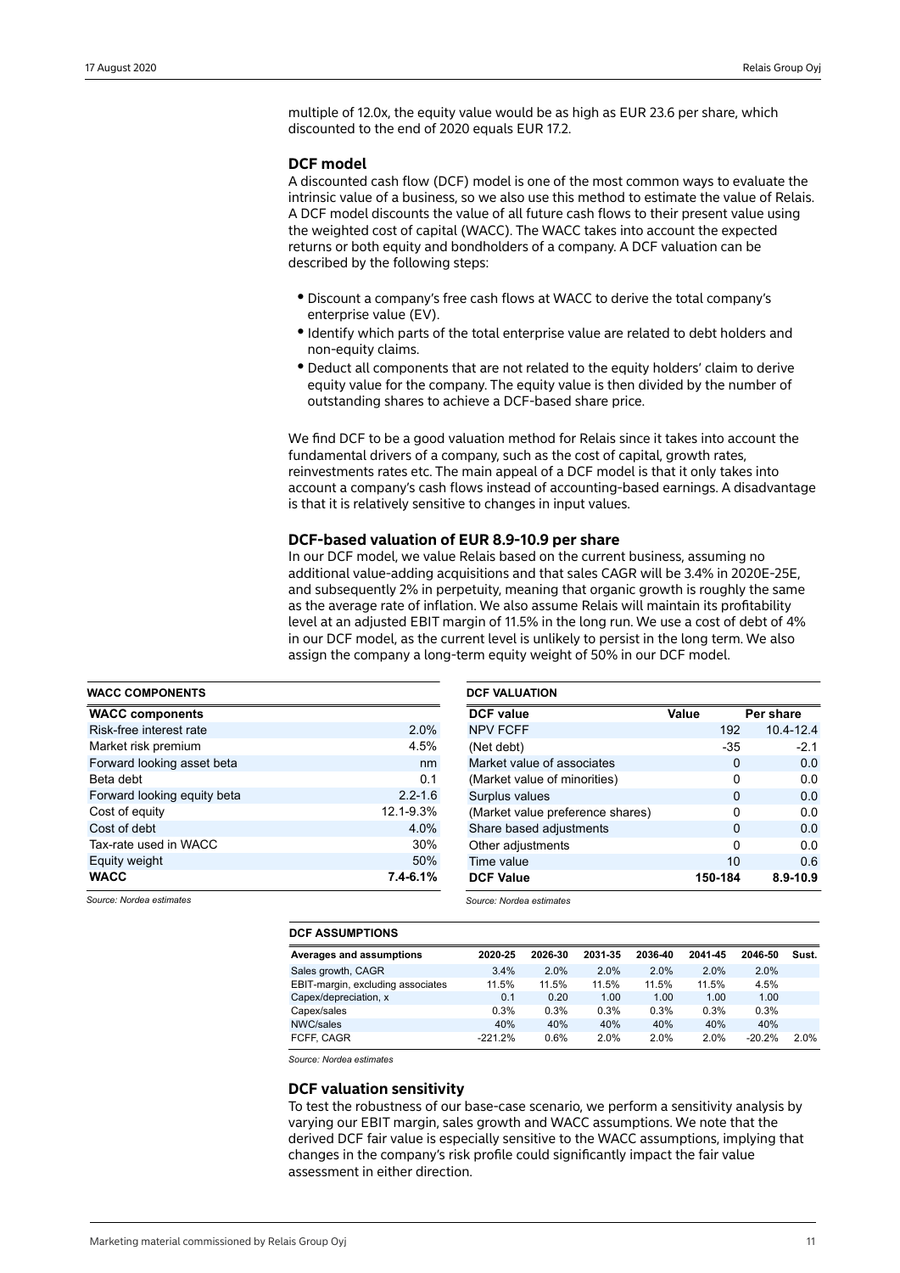multiple of 12.0x, the equity value would be as high as EUR 23.6 per share, which discounted to the end of 2020 equals EUR 17.2.

### **DCF model**

A discounted cash flow (DCF) model is one of the most common ways to evaluate the intrinsic value of a business, so we also use this method to estimate the value of Relais. A DCF model discounts the value of all future cash flows to their present value using the weighted cost of capital (WACC). The WACC takes into account the expected returns or both equity and bondholders of a company. A DCF valuation can be described by the following steps:

- Discount a company's free cash flows at WACC to derive the total company's enterprise value (EV).
- Identify which parts of the total enterprise value are related to debt holders and non-equity claims.
- Deduct all components that are not related to the equity holders' claim to derive equity value for the company. The equity value is then divided by the number of outstanding shares to achieve a DCF-based share price.

We find DCF to be a good valuation method for Relais since it takes into account the fundamental drivers of a company, such as the cost of capital, growth rates, reinvestments rates etc. The main appeal of a DCF model is that it only takes into account a company's cash flows instead of accounting-based earnings. A disadvantage is that it is relatively sensitive to changes in input values.

### **DCF-based valuation of EUR 8.9-10.9 per share**

In our DCF model, we value Relais based on the current business, assuming no additional value-adding acquisitions and that sales CAGR will be 3.4% in 2020E-25E, and subsequently 2% in perpetuity, meaning that organic growth is roughly the same as the average rate of inflation. We also assume Relais will maintain its profitability level at an adjusted EBIT margin of 11.5% in the long run. We use a cost of debt of 4% in our DCF model, as the current level is unlikely to persist in the long term. We also assign the company a long-term equity weight of 50% in our DCF model.

| <b>WACC COMPONENTS</b>      |              | <b>DCF VALUATION</b>             |              |               |  |  |  |  |  |
|-----------------------------|--------------|----------------------------------|--------------|---------------|--|--|--|--|--|
| <b>WACC components</b>      |              | <b>DCF</b> value                 | Value        | Per share     |  |  |  |  |  |
| Risk-free interest rate     | $2.0\%$      | <b>NPV FCFF</b>                  | 192          | $10.4 - 12.4$ |  |  |  |  |  |
| Market risk premium         | 4.5%         | (Net debt)                       | $-35$        | $-2.1$        |  |  |  |  |  |
| Forward looking asset beta  | nm           | Market value of associates       | $\Omega$     | 0.0           |  |  |  |  |  |
| Beta debt                   | 0.1          | (Market value of minorities)     | 0            | 0.0           |  |  |  |  |  |
| Forward looking equity beta | $2.2 - 1.6$  | Surplus values                   | $\mathbf{0}$ | 0.0           |  |  |  |  |  |
| Cost of equity              | 12.1-9.3%    | (Market value preference shares) | 0            | 0.0           |  |  |  |  |  |
| Cost of debt                | 4.0%         | Share based adjustments          | $\Omega$     | 0.0           |  |  |  |  |  |
| Tax-rate used in WACC       | 30%          | Other adjustments                | $\mathbf{0}$ | 0.0           |  |  |  |  |  |
| Equity weight               | 50%          | Time value                       | 10           | 0.6           |  |  |  |  |  |
| <b>WACC</b>                 | $7.4 - 6.1%$ | <b>DCF Value</b>                 | 150-184      | $8.9 - 10.9$  |  |  |  |  |  |

*Source: Nordea estimates*

*Source: Nordea estimates*

| <b>DCF ASSUMPTIONS</b>            |           |         |         |         |         |          |       |
|-----------------------------------|-----------|---------|---------|---------|---------|----------|-------|
| Averages and assumptions          | 2020-25   | 2026-30 | 2031-35 | 2036-40 | 2041-45 | 2046-50  | Sust. |
| Sales growth, CAGR                | 3.4%      | 2.0%    | 2.0%    | 2.0%    | 2.0%    | 2.0%     |       |
| EBIT-margin, excluding associates | 11.5%     | 11.5%   | 11.5%   | 11.5%   | 11.5%   | 4.5%     |       |
| Capex/depreciation, x             | 0.1       | 0.20    | 1.00    | 1.00    | 1.00    | 1.00     |       |
| Capex/sales                       | 0.3%      | 0.3%    | 0.3%    | 0.3%    | 0.3%    | 0.3%     |       |
| NWC/sales                         | 40%       | 40%     | 40%     | 40%     | 40%     | 40%      |       |
| FCFF. CAGR                        | $-221.2%$ | 0.6%    | 2.0%    | 2.0%    | 2.0%    | $-20.2%$ | 2.0%  |

*Source: Nordea estimates*

#### **DCF valuation sensitivity**

To test the robustness of our base-case scenario, we perform a sensitivity analysis by varying our EBIT margin, sales growth and WACC assumptions. We note that the derived DCF fair value is especially sensitive to the WACC assumptions, implying that changes in the company's risk profile could significantly impact the fair value assessment in either direction.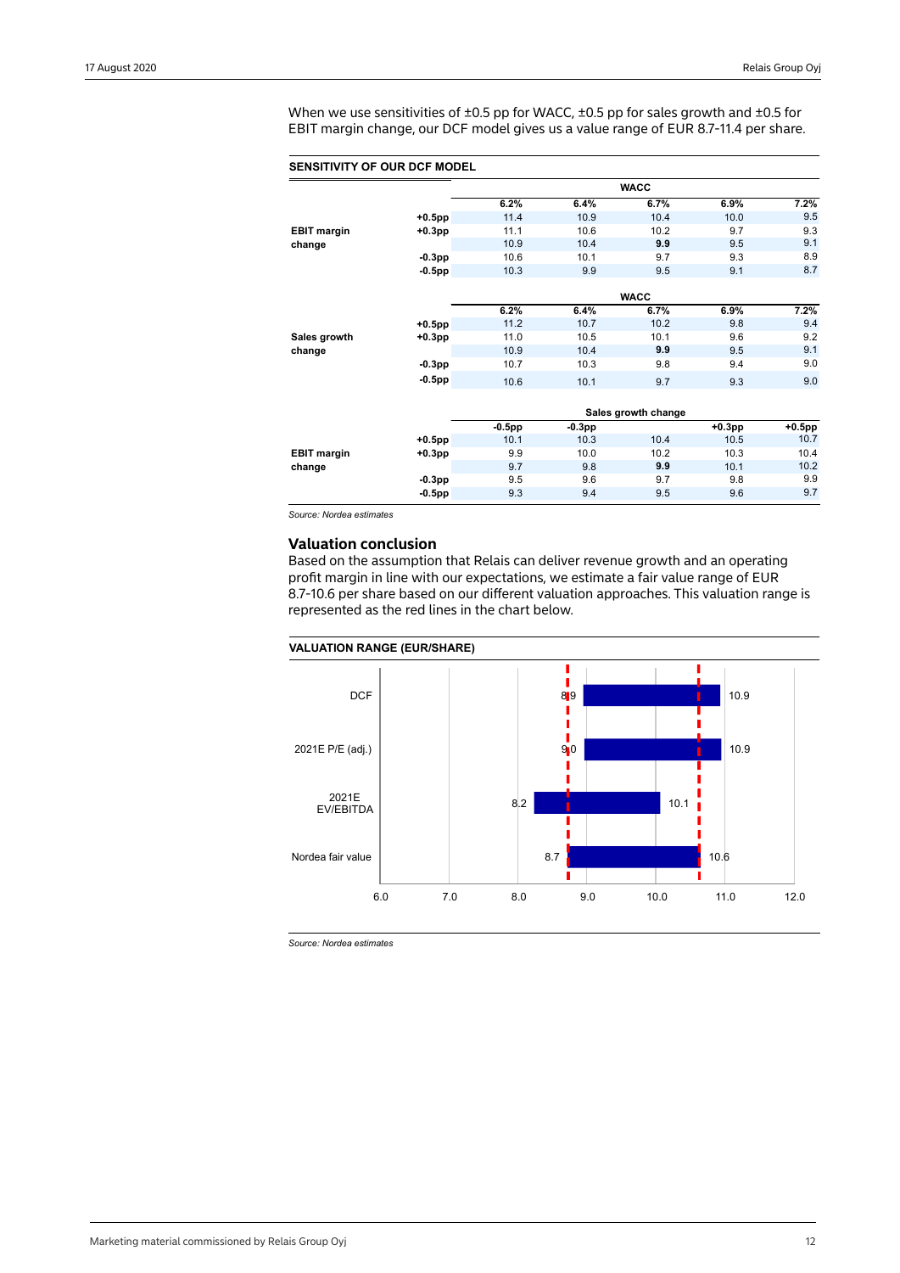When we use sensitivities of ±0.5 pp for WACC, ±0.5 pp for sales growth and ±0.5 for EBIT margin change, our DCF model gives us a value range of EUR 8.7-11.4 per share.

#### **SENSITIVITY OF OUR DCF MODEL**

|                    |           |           |          | <b>WACC</b>         |           |           |
|--------------------|-----------|-----------|----------|---------------------|-----------|-----------|
|                    |           | 6.2%      | 6.4%     | 6.7%                | 6.9%      | 7.2%      |
|                    | $+0.5$ pp | 11.4      | 10.9     | 10.4                | 10.0      | 9.5       |
| <b>EBIT margin</b> | $+0.3$ pp | 11.1      | 10.6     | 10.2                | 9.7       | 9.3       |
| change             |           | 10.9      | 10.4     | 9.9                 | 9.5       | 9.1       |
|                    | $-0.3pp$  | 10.6      | 10.1     | 9.7                 | 9.3       | 8.9       |
|                    | $-0.5$ pp | 10.3      | 9.9      | 9.5                 | 9.1       | 8.7       |
|                    |           |           |          |                     |           |           |
|                    |           |           |          | <b>WACC</b>         |           |           |
|                    |           | 6.2%      | 6.4%     | 6.7%                | 6.9%      | 7.2%      |
|                    | $+0.5$ pp | 11.2      | 10.7     | 10.2                | 9.8       | 9.4       |
| Sales growth       | $+0.3$ pp | 11.0      | 10.5     | 10.1                | 9.6       | 9.2       |
| change             |           | 10.9      | 10.4     | 9.9                 | 9.5       | 9.1       |
|                    | $-0.3pp$  | 10.7      | 10.3     | 9.8                 | 9.4       | 9.0       |
|                    | $-0.5$ pp | 10.6      | 10.1     | 9.7                 | 9.3       | 9.0       |
|                    |           |           |          |                     |           |           |
|                    |           |           |          | Sales growth change |           |           |
|                    |           | $-0.5$ pp | $-0.3pp$ |                     | $+0.3$ pp | $+0.5$ pp |
|                    | $+0.5$ pp | 10.1      | 10.3     | 10.4                | 10.5      | 10.7      |
| <b>EBIT margin</b> | $+0.3$ pp | 9.9       | 10.0     | 10.2                | 10.3      | 10.4      |
| change             |           | 9.7       | 9.8      | 9.9                 | 10.1      | 10.2      |
|                    | $-0.3pp$  | 9.5       | 9.6      | 9.7                 | 9.8       | 9.9       |
|                    | $-0.5$ pp | 9.3       | 9.4      | 9.5                 | 9.6       | 9.7       |
|                    |           |           |          |                     |           |           |

*Source: Nordea estimates*

### **Valuation conclusion**

Based on the assumption that Relais can deliver revenue growth and an operating profit margin in line with our expectations, we estimate a fair value range of EUR 8.7-10.6 per share based on our different valuation approaches. This valuation range is represented as the red lines in the chart below.



*Source: Nordea estimates*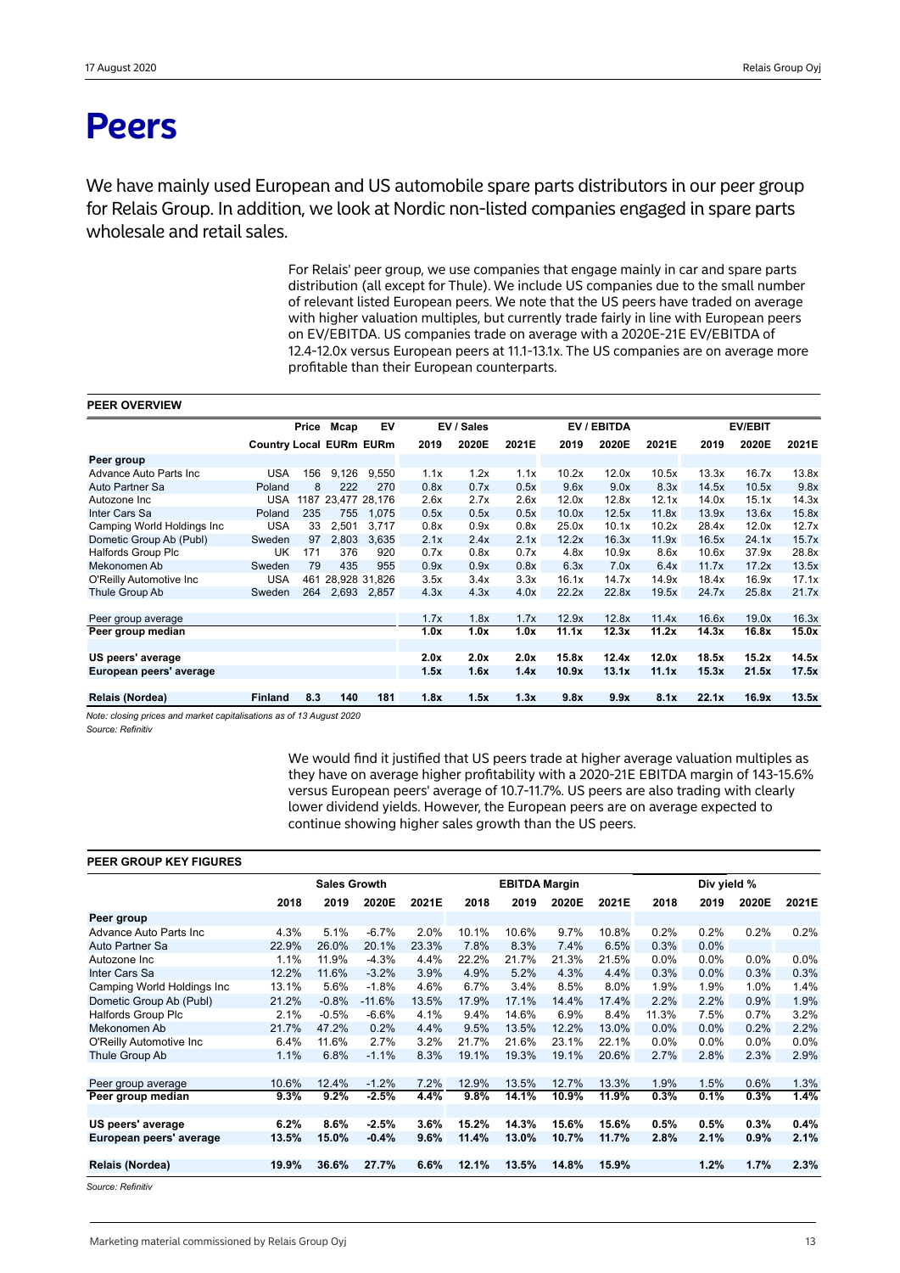## **Peers**

We have mainly used European and US automobile spare parts distributors in our peer group for Relais Group. In addition, we look at Nordic non-listed companies engaged in spare parts wholesale and retail sales.

> For Relais' peer group, we use companies that engage mainly in car and spare parts distribution (all except for Thule). We include US companies due to the small number of relevant listed European peers. We note that the US peers have traded on average with higher valuation multiples, but currently trade fairly in line with European peers on EV/EBITDA. US companies trade on average with a 2020E-21E EV/EBITDA of 12.4-12.0x versus European peers at 11.1-13.1x. The US companies are on average more profitable than their European counterparts.

#### **PEER OVERVIEW**

|                             |                                | Price | Mcap               | EV    |      | EV / Sales |       |       | EV / EBITDA |       |       | <b>EV/EBIT</b> |       |
|-----------------------------|--------------------------------|-------|--------------------|-------|------|------------|-------|-------|-------------|-------|-------|----------------|-------|
|                             | <b>Country Local EURm EURm</b> |       |                    |       | 2019 | 2020E      | 2021E | 2019  | 2020E       | 2021E | 2019  | 2020E          | 2021E |
| Peer group                  |                                |       |                    |       |      |            |       |       |             |       |       |                |       |
| Advance Auto Parts Inc      | USA                            | 156   | 9,126              | 9.550 | 1.1x | 1.2x       | 1.1x  | 10.2x | 12.0x       | 10.5x | 13.3x | 16.7x          | 13.8x |
| Auto Partner Sa             | Poland                         | 8     | 222                | 270   | 0.8x | 0.7x       | 0.5x  | 9.6x  | 9.0x        | 8.3x  | 14.5x | 10.5x          | 9.8x  |
| Autozone Inc                | <b>USA</b>                     |       | 1187 23,477 28,176 |       | 2.6x | 2.7x       | 2.6x  | 12.0x | 12.8x       | 12.1x | 14.0x | 15.1x          | 14.3x |
| Inter Cars Sa               | Poland                         | 235   | 755                | 1,075 | 0.5x | 0.5x       | 0.5x  | 10.0x | 12.5x       | 11.8x | 13.9x | 13.6x          | 15.8x |
| Camping World Holdings Inc. | <b>USA</b>                     | 33    | 2.501              | 3.717 | 0.8x | 0.9x       | 0.8x  | 25.0x | 10.1x       | 10.2x | 28.4x | 12.0x          | 12.7x |
| Dometic Group Ab (Publ)     | Sweden                         | 97    | 2,803              | 3,635 | 2.1x | 2.4x       | 2.1x  | 12.2x | 16.3x       | 11.9x | 16.5x | 24.1x          | 15.7x |
| <b>Halfords Group Plc</b>   | UK                             | 171   | 376                | 920   | 0.7x | 0.8x       | 0.7x  | 4.8x  | 10.9x       | 8.6x  | 10.6x | 37.9x          | 28.8x |
| Mekonomen Ab                | Sweden                         | 79    | 435                | 955   | 0.9x | 0.9x       | 0.8x  | 6.3x  | 7.0x        | 6.4x  | 11.7x | 17.2x          | 13.5x |
| O'Reilly Automotive Inc.    | <b>USA</b>                     |       | 461 28,928 31,826  |       | 3.5x | 3.4x       | 3.3x  | 16.1x | 14.7x       | 14.9x | 18.4x | 16.9x          | 17.1x |
| Thule Group Ab              | Sweden                         | 264   | 2,693              | 2.857 | 4.3x | 4.3x       | 4.0x  | 22.2x | 22.8x       | 19.5x | 24.7x | 25.8x          | 21.7x |
|                             |                                |       |                    |       |      |            |       |       |             |       |       |                |       |
| Peer group average          |                                |       |                    |       | 1.7x | 1.8x       | 1.7x  | 12.9x | 12.8x       | 11.4x | 16.6x | 19.0x          | 16.3x |
| Peer group median           |                                |       |                    |       | 1.0x | 1.0x       | 1.0x  | 11.1x | 12.3x       | 11.2x | 14.3x | 16.8x          | 15.0x |
|                             |                                |       |                    |       |      |            |       |       |             |       |       |                |       |
| US peers' average           |                                |       |                    |       | 2.0x | 2.0x       | 2.0x  | 15.8x | 12.4x       | 12.0x | 18.5x | 15.2x          | 14.5x |
| European peers' average     |                                |       |                    |       | 1.5x | 1.6x       | 1.4x  | 10.9x | 13.1x       | 11.1x | 15.3x | 21.5x          | 17.5x |
|                             |                                |       |                    |       |      |            |       |       |             |       |       |                |       |
| Relais (Nordea)             | <b>Finland</b>                 | 8.3   | 140                | 181   | 1.8x | 1.5x       | 1.3x  | 9.8x  | 9.9x        | 8.1x  | 22.1x | 16.9x          | 13.5x |

*Note: closing prices and market capitalisations as of 13 August 2020*

*Source: Refinitiv*

We would find it justified that US peers trade at higher average valuation multiples as they have on average higher profitability with a 2020-21E EBITDA margin of 143-15.6% versus European peers' average of 10.7-11.7%. US peers are also trading with clearly lower dividend yields. However, the European peers are on average expected to continue showing higher sales growth than the US peers.

#### **PEER GROUP KEY FIGURES**

|                             |       | <b>Sales Growth</b> |          |       |       | <b>EBITDA Margin</b> |       |       |         | Div yield % |         |         |
|-----------------------------|-------|---------------------|----------|-------|-------|----------------------|-------|-------|---------|-------------|---------|---------|
|                             | 2018  | 2019                | 2020E    | 2021E | 2018  | 2019                 | 2020E | 2021E | 2018    | 2019        | 2020E   | 2021E   |
| Peer group                  |       |                     |          |       |       |                      |       |       |         |             |         |         |
| Advance Auto Parts Inc      | 4.3%  | 5.1%                | $-6.7%$  | 2.0%  | 10.1% | 10.6%                | 9.7%  | 10.8% | 0.2%    | 0.2%        | 0.2%    | 0.2%    |
| Auto Partner Sa             | 22.9% | 26.0%               | 20.1%    | 23.3% | 7.8%  | 8.3%                 | 7.4%  | 6.5%  | 0.3%    | 0.0%        |         |         |
| Autozone Inc                | 1.1%  | 11.9%               | $-4.3%$  | 4.4%  | 22.2% | 21.7%                | 21.3% | 21.5% | $0.0\%$ | $0.0\%$     | $0.0\%$ | $0.0\%$ |
| Inter Cars Sa               | 12.2% | 11.6%               | $-3.2%$  | 3.9%  | 4.9%  | 5.2%                 | 4.3%  | 4.4%  | 0.3%    | 0.0%        | 0.3%    | 0.3%    |
| Camping World Holdings Inc. | 13.1% | 5.6%                | $-1.8%$  | 4.6%  | 6.7%  | 3.4%                 | 8.5%  | 8.0%  | 1.9%    | 1.9%        | 1.0%    | 1.4%    |
| Dometic Group Ab (Publ)     | 21.2% | $-0.8%$             | $-11.6%$ | 13.5% | 17.9% | 17.1%                | 14.4% | 17.4% | 2.2%    | 2.2%        | 0.9%    | 1.9%    |
| <b>Halfords Group Plc</b>   | 2.1%  | $-0.5%$             | $-6.6%$  | 4.1%  | 9.4%  | 14.6%                | 6.9%  | 8.4%  | 11.3%   | 7.5%        | 0.7%    | 3.2%    |
| Mekonomen Ab                | 21.7% | 47.2%               | 0.2%     | 4.4%  | 9.5%  | 13.5%                | 12.2% | 13.0% | 0.0%    | 0.0%        | 0.2%    | 2.2%    |
| O'Reilly Automotive Inc     | 6.4%  | 11.6%               | 2.7%     | 3.2%  | 21.7% | 21.6%                | 23.1% | 22.1% | 0.0%    | $0.0\%$     | $0.0\%$ | 0.0%    |
| Thule Group Ab              | 1.1%  | 6.8%                | $-1.1%$  | 8.3%  | 19.1% | 19.3%                | 19.1% | 20.6% | 2.7%    | 2.8%        | 2.3%    | 2.9%    |
|                             |       |                     |          |       |       |                      |       |       |         |             |         |         |
| Peer group average          | 10.6% | 12.4%               | $-1.2%$  | 7.2%  | 12.9% | 13.5%                | 12.7% | 13.3% | 1.9%    | 1.5%        | 0.6%    | 1.3%    |
| Peer group median           | 9.3%  | 9.2%                | $-2.5%$  | 4.4%  | 9.8%  | 14.1%                | 10.9% | 11.9% | 0.3%    | 0.1%        | 0.3%    | 1.4%    |
|                             |       |                     |          |       |       |                      |       |       |         |             |         |         |
| US peers' average           | 6.2%  | 8.6%                | $-2.5%$  | 3.6%  | 15.2% | 14.3%                | 15.6% | 15.6% | 0.5%    | 0.5%        | 0.3%    | 0.4%    |
| European peers' average     | 13.5% | 15.0%               | $-0.4%$  | 9.6%  | 11.4% | 13.0%                | 10.7% | 11.7% | 2.8%    | 2.1%        | 0.9%    | 2.1%    |
|                             |       |                     |          |       |       |                      |       |       |         |             |         |         |
| Relais (Nordea)             | 19.9% | 36.6%               | 27.7%    | 6.6%  | 12.1% | 13.5%                | 14.8% | 15.9% |         | 1.2%        | 1.7%    | 2.3%    |

*Source: Refinitiv*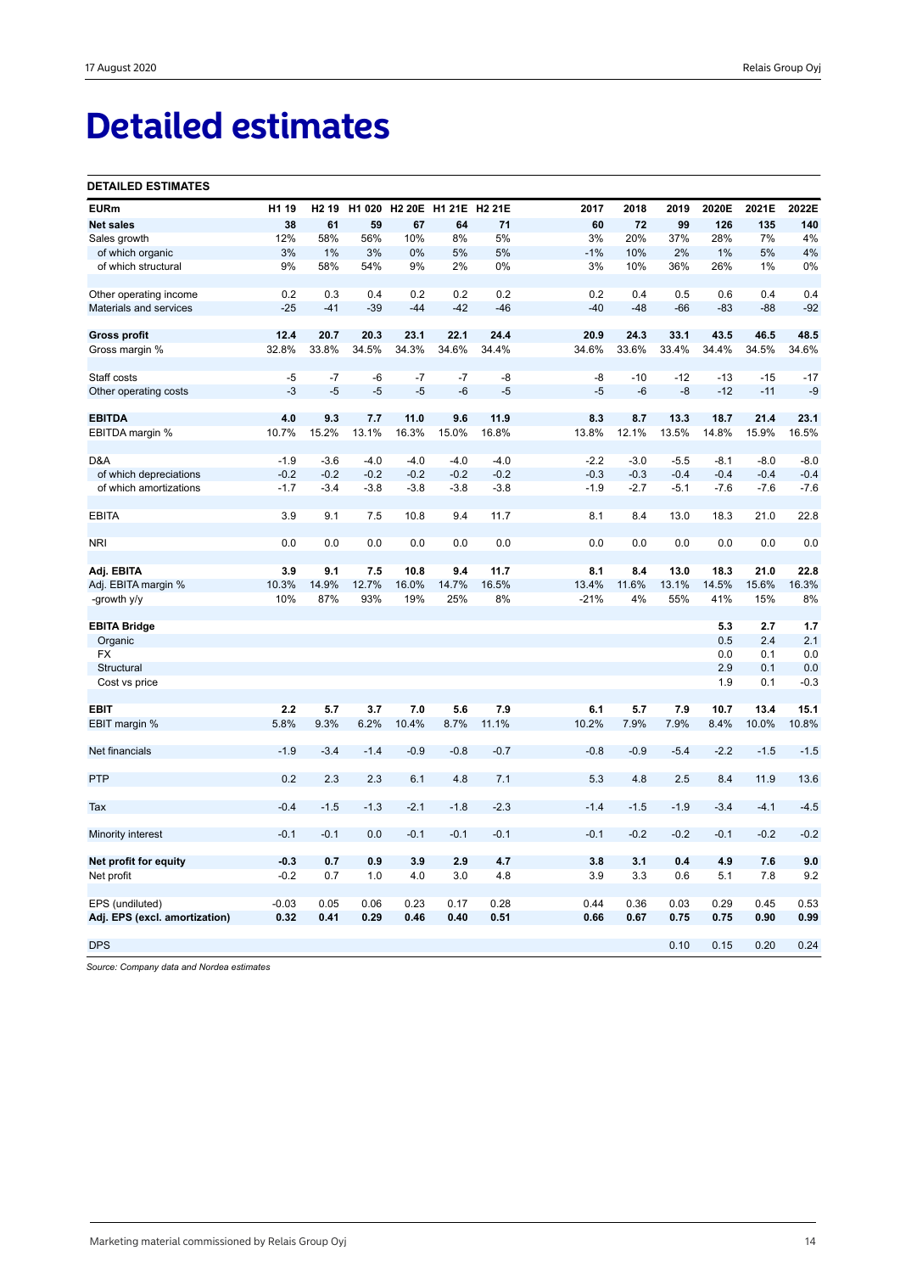## **Detailed estimates**

#### **DETAILED ESTIMATES**

| <b>EURm</b>                   | H1 19   | H <sub>2</sub> 19 | H1 020 |        | H2 20E H1 21E H2 21E |        | 2017   | 2018   | 2019   | 2020E  | 2021E  | 2022E  |
|-------------------------------|---------|-------------------|--------|--------|----------------------|--------|--------|--------|--------|--------|--------|--------|
| <b>Net sales</b>              | 38      | 61                | 59     | 67     | 64                   | 71     | 60     | 72     | 99     | 126    | 135    | 140    |
| Sales growth                  | 12%     | 58%               | 56%    | 10%    | 8%                   | 5%     | 3%     | 20%    | 37%    | 28%    | 7%     | 4%     |
| of which organic              | 3%      | 1%                | 3%     | 0%     | 5%                   | 5%     | $-1%$  | 10%    | 2%     | 1%     | 5%     | 4%     |
| of which structural           | 9%      | 58%               | 54%    | 9%     | 2%                   | 0%     | 3%     | 10%    | 36%    | 26%    | 1%     | 0%     |
| Other operating income        | 0.2     | 0.3               | 0.4    | 0.2    | 0.2                  | 0.2    | 0.2    | 0.4    | 0.5    | 0.6    | 0.4    | 0.4    |
| Materials and services        | $-25$   | $-41$             | $-39$  | $-44$  | $-42$                | $-46$  | $-40$  | $-48$  | $-66$  | $-83$  | $-88$  | $-92$  |
| <b>Gross profit</b>           | 12.4    | 20.7              | 20.3   | 23.1   | 22.1                 | 24.4   | 20.9   | 24.3   | 33.1   | 43.5   | 46.5   | 48.5   |
| Gross margin %                | 32.8%   | 33.8%             | 34.5%  | 34.3%  | 34.6%                | 34.4%  | 34.6%  | 33.6%  | 33.4%  | 34.4%  | 34.5%  | 34.6%  |
| Staff costs                   | $-5$    | $-7$              | -6     | $-7$   | $-7$                 | -8     | -8     | $-10$  | $-12$  | $-13$  | $-15$  | $-17$  |
| Other operating costs         | $-3$    | $-5$              | $-5$   | $-5$   | $-6$                 | $-5$   | $-5$   | $-6$   | $-8$   | $-12$  | $-11$  | $-9$   |
| <b>EBITDA</b>                 | 4.0     | 9.3               | 7.7    | 11.0   | 9.6                  | 11.9   | 8.3    | 8.7    | 13.3   | 18.7   | 21.4   | 23.1   |
| EBITDA margin %               | 10.7%   | 15.2%             | 13.1%  | 16.3%  | 15.0%                | 16.8%  | 13.8%  | 12.1%  | 13.5%  | 14.8%  | 15.9%  | 16.5%  |
| D&A                           | $-1.9$  | $-3.6$            | $-4.0$ | $-4.0$ | $-4.0$               | $-4.0$ | $-2.2$ | $-3.0$ | $-5.5$ | $-8.1$ | $-8.0$ | $-8.0$ |
| of which depreciations        | $-0.2$  | $-0.2$            | $-0.2$ | $-0.2$ | $-0.2$               | $-0.2$ | $-0.3$ | $-0.3$ | $-0.4$ | $-0.4$ | $-0.4$ | $-0.4$ |
| of which amortizations        | $-1.7$  | $-3.4$            | $-3.8$ | $-3.8$ | $-3.8$               | $-3.8$ | $-1.9$ | $-2.7$ | $-5.1$ | $-7.6$ | $-7.6$ | $-7.6$ |
| <b>EBITA</b>                  | 3.9     | 9.1               | 7.5    | 10.8   | 9.4                  | 11.7   | 8.1    | 8.4    | 13.0   | 18.3   | 21.0   | 22.8   |
| <b>NRI</b>                    | 0.0     | 0.0               | 0.0    | 0.0    | 0.0                  | 0.0    | 0.0    | 0.0    | 0.0    | 0.0    | 0.0    | 0.0    |
| Adj. EBITA                    | 3.9     | 9.1               | 7.5    | 10.8   | 9.4                  | 11.7   | 8.1    | 8.4    | 13.0   | 18.3   | 21.0   | 22.8   |
| Adj. EBITA margin %           | 10.3%   | 14.9%             | 12.7%  | 16.0%  | 14.7%                | 16.5%  | 13.4%  | 11.6%  | 13.1%  | 14.5%  | 15.6%  | 16.3%  |
| -growth y/y                   | 10%     | 87%               | 93%    | 19%    | 25%                  | 8%     | $-21%$ | 4%     | 55%    | 41%    | 15%    | 8%     |
| <b>EBITA Bridge</b>           |         |                   |        |        |                      |        |        |        |        | 5.3    | 2.7    | 1.7    |
| Organic                       |         |                   |        |        |                      |        |        |        |        | 0.5    | 2.4    | 2.1    |
| <b>FX</b>                     |         |                   |        |        |                      |        |        |        |        | 0.0    | 0.1    | 0.0    |
| Structural                    |         |                   |        |        |                      |        |        |        |        | 2.9    | 0.1    | 0.0    |
| Cost vs price                 |         |                   |        |        |                      |        |        |        |        | 1.9    | 0.1    | $-0.3$ |
| <b>EBIT</b>                   | 2.2     | 5.7               | 3.7    | 7.0    | 5.6                  | 7.9    | 6.1    | 5.7    | 7.9    | 10.7   | 13.4   | 15.1   |
| EBIT margin %                 | 5.8%    | 9.3%              | 6.2%   | 10.4%  | 8.7%                 | 11.1%  | 10.2%  | 7.9%   | 7.9%   | 8.4%   | 10.0%  | 10.8%  |
| Net financials                | $-1.9$  | $-3.4$            | $-1.4$ | $-0.9$ | $-0.8$               | $-0.7$ | $-0.8$ | $-0.9$ | $-5.4$ | $-2.2$ | $-1.5$ | $-1.5$ |
| <b>PTP</b>                    | 0.2     | 2.3               | 2.3    | 6.1    | 4.8                  | 7.1    | 5.3    | 4.8    | 2.5    | 8.4    | 11.9   | 13.6   |
| Tax                           | $-0.4$  | $-1.5$            | $-1.3$ | $-2.1$ | $-1.8$               | $-2.3$ | $-1.4$ | $-1.5$ | $-1.9$ | $-3.4$ | $-4.1$ | $-4.5$ |
| Minority interest             | $-0.1$  | $-0.1$            | 0.0    | $-0.1$ | $-0.1$               | $-0.1$ | $-0.1$ | $-0.2$ | $-0.2$ | $-0.1$ | $-0.2$ | $-0.2$ |
| Net profit for equity         | $-0.3$  | 0.7               | 0.9    | 3.9    | 2.9                  | 4.7    | 3.8    | 3.1    | 0.4    | 4.9    | 7.6    | 9.0    |
| Net profit                    | $-0.2$  | 0.7               | 1.0    | 4.0    | 3.0                  | 4.8    | 3.9    | 3.3    | 0.6    | 5.1    | 7.8    | 9.2    |
| EPS (undiluted)               | $-0.03$ | 0.05              | 0.06   | 0.23   | 0.17                 | 0.28   | 0.44   | 0.36   | 0.03   | 0.29   | 0.45   | 0.53   |
| Adj. EPS (excl. amortization) | 0.32    | 0.41              | 0.29   | 0.46   | 0.40                 | 0.51   | 0.66   | 0.67   | 0.75   | 0.75   | 0.90   | 0.99   |
| <b>DPS</b>                    |         |                   |        |        |                      |        |        |        | 0.10   | 0.15   | 0.20   | 0.24   |
|                               |         |                   |        |        |                      |        |        |        |        |        |        |        |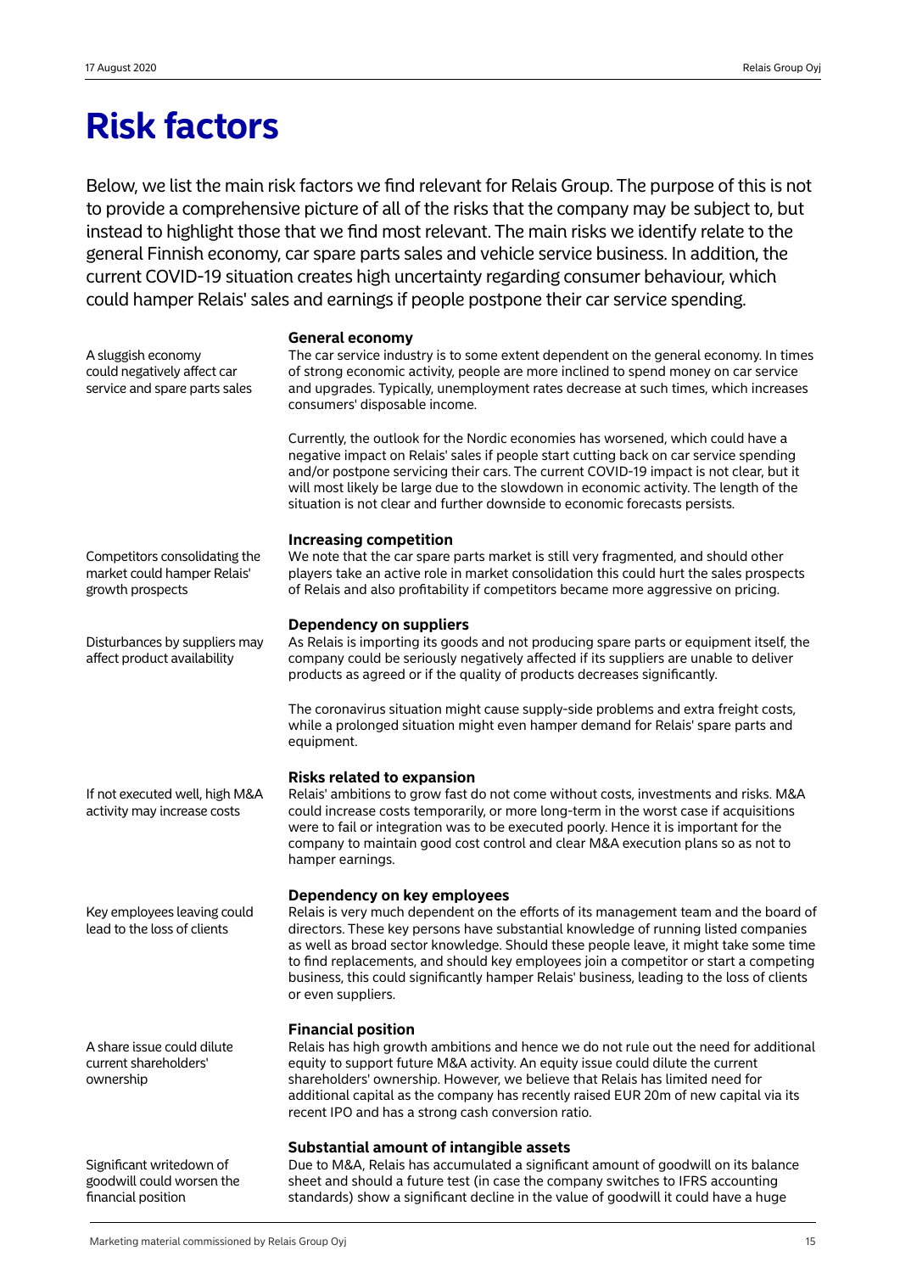## **Risk factors**

Below, we list the main risk factors we find relevant for Relais Group. The purpose of this is not to provide a comprehensive picture of all of the risks that the company may be subject to, but instead to highlight those that we find most relevant. The main risks we identify relate to the general Finnish economy, car spare parts sales and vehicle service business. In addition, the current COVID-19 situation creates high uncertainty regarding consumer behaviour, which could hamper Relais' sales and earnings if people postpone their car service spending.

**General economy**

The car service industry is to some extent dependent on the general economy. In times of strong economic activity, people are more inclined to spend money on car service and upgrades. Typically, unemployment rates decrease at such times, which increases consumers' disposable income.

Currently, the outlook for the Nordic economies has worsened, which could have a negative impact on Relais' sales if people start cutting back on car service spending and/or postpone servicing their cars. The current COVID-19 impact is not clear, but it will most likely be large due to the slowdown in economic activity. The length of the situation is not clear and further downside to economic forecasts persists.

## **Increasing competition**

We note that the car spare parts market is still very fragmented, and should other players take an active role in market consolidation this could hurt the sales prospects of Relais and also profitability if competitors became more aggressive on pricing.

## **Dependency on suppliers**

As Relais is importing its goods and not producing spare parts or equipment itself, the company could be seriously negatively affected if its suppliers are unable to deliver products as agreed or if the quality of products decreases significantly.

The coronavirus situation might cause supply-side problems and extra freight costs, while a prolonged situation might even hamper demand for Relais' spare parts and equipment.

## **Risks related to expansion**

Relais' ambitions to grow fast do not come without costs, investments and risks. M&A could increase costs temporarily, or more long-term in the worst case if acquisitions were to fail or integration was to be executed poorly. Hence it is important for the company to maintain good cost control and clear M&A execution plans so as not to hamper earnings.

## **Dependency on key employees**

Relais is very much dependent on the efforts of its management team and the board of directors. These key persons have substantial knowledge of running listed companies as well as broad sector knowledge. Should these people leave, it might take some time to find replacements, and should key employees join a competitor or start a competing business, this could significantly hamper Relais' business, leading to the loss of clients or even suppliers.

## **Financial position**

Relais has high growth ambitions and hence we do not rule out the need for additional equity to support future M&A activity. An equity issue could dilute the current shareholders' ownership. However, we believe that Relais has limited need for additional capital as the company has recently raised EUR 20m of new capital via its recent IPO and has a strong cash conversion ratio.

## **Substantial amount of intangible assets**

Due to M&A, Relais has accumulated a significant amount of goodwill on its balance sheet and should a future test (in case the company switches to IFRS accounting standards) show a significant decline in the value of goodwill it could have a huge

Competitors consolidating the market could hamper Relais' growth prospects

A sluggish economy could negatively affect car service and spare parts sales

Disturbances by suppliers may affect product availability

If not executed well, high M&A activity may increase costs

Key employees leaving could lead to the loss of clients

A share issue could dilute current shareholders' ownership

Significant writedown of goodwill could worsen the financial position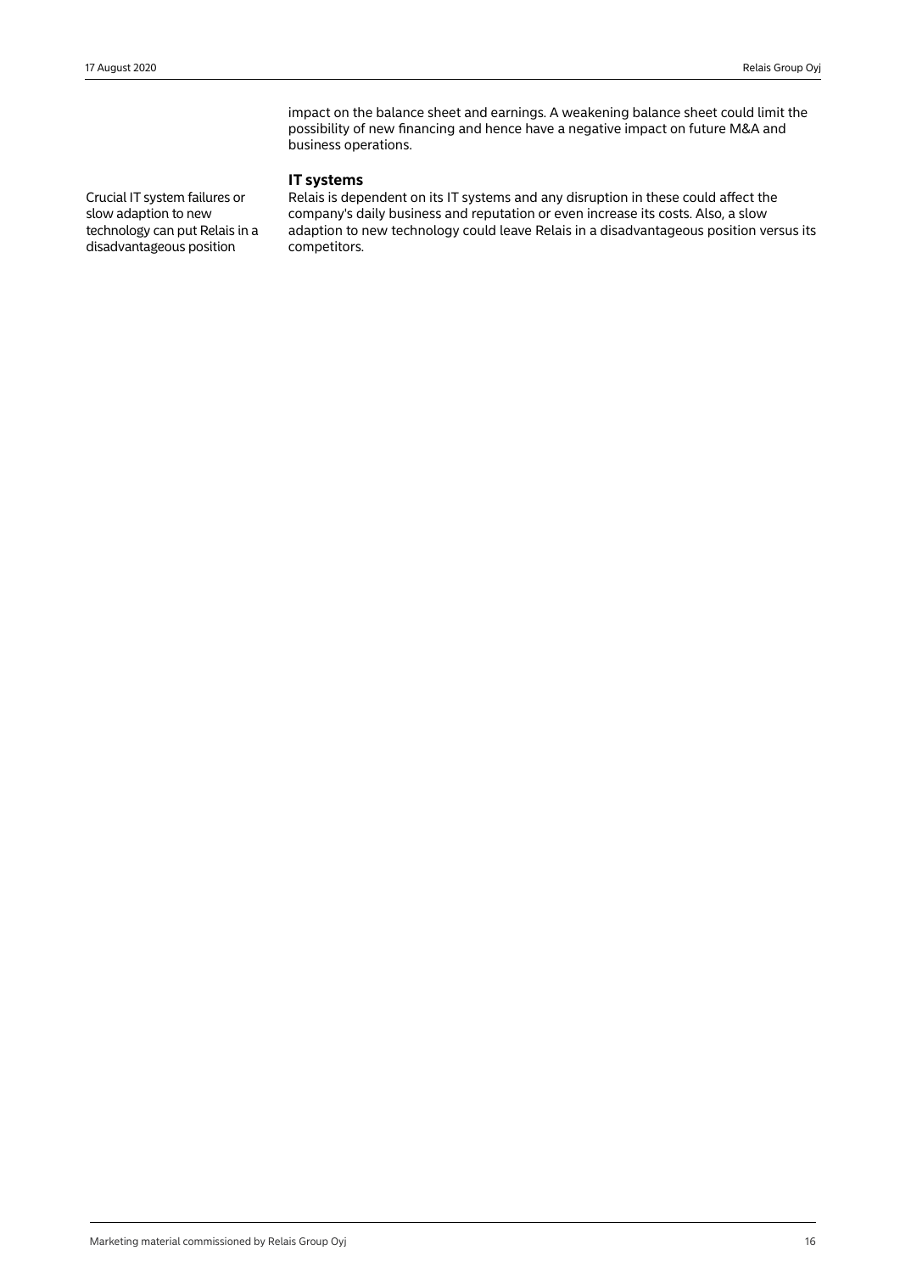impact on the balance sheet and earnings. A weakening balance sheet could limit the possibility of new financing and hence have a negative impact on future M&A and business operations.

## **IT systems**

Crucial IT system failures or slow adaption to new technology can put Relais in a disadvantageous position

Relais is dependent on its IT systems and any disruption in these could affect the company's daily business and reputation or even increase its costs. Also, a slow adaption to new technology could leave Relais in a disadvantageous position versus its competitors.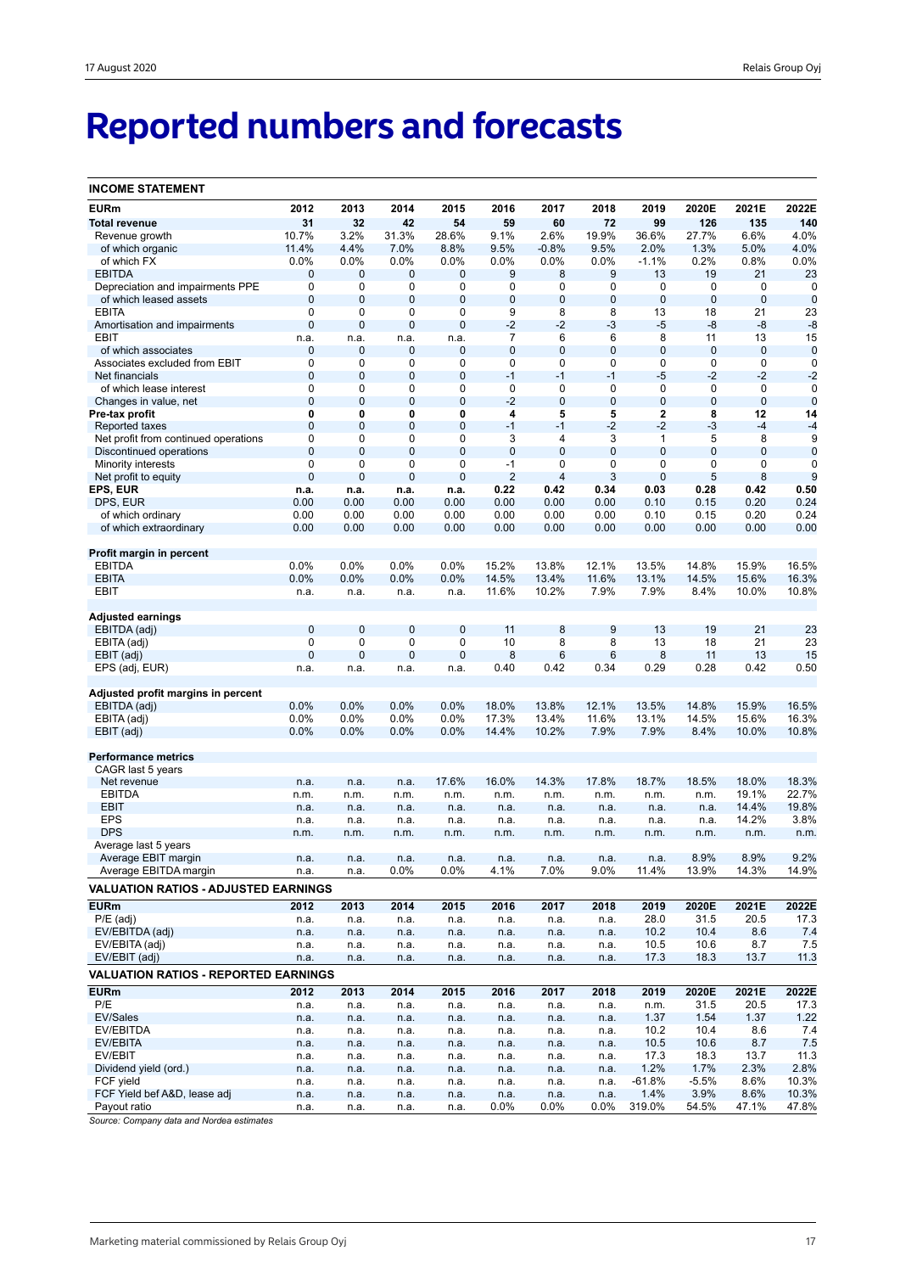# **Reported numbers and forecasts**

| <b>INCOME STATEMENT</b>                       |              |                   |                             |                   |                  |                   |                   |                   |                   |                |                  |
|-----------------------------------------------|--------------|-------------------|-----------------------------|-------------------|------------------|-------------------|-------------------|-------------------|-------------------|----------------|------------------|
| <b>EURm</b>                                   | 2012         | 2013              | 2014                        | 2015              | 2016             | 2017              | 2018              | 2019              | 2020E             | 2021E          | 2022E            |
| <b>Total revenue</b>                          | 31           | 32                | 42                          | 54                | 59               | 60                | 72                | 99                | 126               | 135            | 140              |
| Revenue growth                                | 10.7%        | 3.2%              | 31.3%                       | 28.6%             | 9.1%             | 2.6%              | 19.9%             | 36.6%             | 27.7%             | 6.6%           | 4.0%             |
| of which organic                              | 11.4%        | 4.4%              | 7.0%                        | 8.8%              | 9.5%             | $-0.8%$           | 9.5%              | 2.0%              | 1.3%              | 5.0%           | 4.0%             |
| of which FX                                   | 0.0%         | 0.0%              | 0.0%                        | 0.0%              | 0.0%             | 0.0%              | 0.0%              | $-1.1%$           | 0.2%              | 0.8%           | 0.0%             |
| <b>EBITDA</b>                                 | 0            | 0                 | 0                           | 0                 | 9                | 8                 | 9                 | 13                | 19                | 21             | 23               |
| Depreciation and impairments PPE              | 0            | 0                 | 0                           | 0                 | 0                | 0                 | 0                 | 0                 | 0                 | 0              | $\mathbf 0$      |
| of which leased assets                        | 0            | $\mathbf 0$       | $\mathbf 0$                 | 0                 | 0                | $\mathbf 0$       | $\mathbf 0$       | 0                 | $\mathbf{0}$      | $\mathbf 0$    | $\mathbf 0$      |
| <b>EBITA</b>                                  | 0            | 0                 | 0                           | 0                 | 9                | 8                 | 8                 | 13                | 18                | 21             | 23               |
| Amortisation and impairments                  | 0            | $\pmb{0}$         | $\mathbf 0$                 | 0                 | $-2$             | $-2$              | $-3$              | $-5$              | -8                | -8             | -8               |
| EBIT                                          | n.a.         | n.a.              | n.a.                        | n.a.              | $\overline{7}$   | 6                 | 6                 | 8                 | 11                | 13             | 15               |
| of which associates                           | 0            | $\pmb{0}$         | $\mathbf 0$                 | 0                 | $\mathbf 0$      | $\mathbf 0$       | $\mathbf 0$       | 0                 | $\mathbf 0$       | $\mathbf 0$    | $\mathbf 0$      |
| Associates excluded from EBIT                 | 0            | 0                 | 0                           | 0                 | 0                | 0                 | 0                 | 0                 | $\mathbf 0$       | 0              | $\mathbf 0$      |
| Net financials                                | $\mathbf 0$  | 0                 | $\mathbf 0$                 | $\mathbf 0$       | $-1$             | $-1$              | $-1$              | -5                | $-2$              | $-2$           | $-2$             |
| of which lease interest                       | 0            | 0                 | 0                           | 0                 | $\mathbf 0$      | 0                 | $\mathbf 0$       | 0                 | $\mathbf 0$       | $\pmb{0}$      | $\mathbf 0$      |
| Changes in value, net                         | 0            | $\mathbf 0$       | $\mathbf 0$                 | $\mathbf 0$       | $-2$             | $\mathbf 0$       | $\mathbf 0$       | $\mathbf 0$       | $\mathbf 0$       | $\mathbf 0$    | $\mathbf 0$      |
| Pre-tax profit                                | 0            | 0                 | 0                           | 0                 | 4                | 5                 | 5                 | 2                 | 8                 | 12             | 14               |
| Reported taxes                                | 0            | $\mathbf 0$       | $\mathbf 0$                 | 0                 | $-1$             | $-1$              | $-2$              | $-2$              | $-3$              | $-4$           | $-4$             |
| Net profit from continued operations          | 0<br>0       | 0<br>$\mathbf{0}$ | $\mathbf 0$<br>$\mathbf{0}$ | 0<br>$\mathbf{0}$ | 3<br>$\mathbf 0$ | 4<br>$\mathbf{0}$ | 3<br>$\mathbf{0}$ | 1<br>$\mathbf{0}$ | 5<br>$\mathbf{0}$ | 8<br>0         | 9<br>$\mathbf 0$ |
| Discontinued operations<br>Minority interests | 0            | 0                 | 0                           | 0                 | $-1$             | 0                 | 0                 | 0                 | 0                 | 0              | 0                |
| Net profit to equity                          | $\mathbf 0$  | $\mathbf 0$       | $\mathbf 0$                 | 0                 | $\overline{2}$   | $\overline{4}$    | 3                 | $\mathbf{0}$      | 5                 | 8              | 9                |
| EPS, EUR                                      | n.a.         | n.a.              | n.a.                        | n.a.              | 0.22             | 0.42              | 0.34              | 0.03              | 0.28              | 0.42           | 0.50             |
| DPS, EUR                                      | 0.00         | 0.00              | 0.00                        | 0.00              | 0.00             | 0.00              | 0.00              | 0.10              | 0.15              | 0.20           | 0.24             |
| of which ordinary                             | 0.00         | 0.00              | 0.00                        | 0.00              | 0.00             | 0.00              | 0.00              | 0.10              | 0.15              | 0.20           | 0.24             |
| of which extraordinary                        | 0.00         | 0.00              | 0.00                        | 0.00              | 0.00             | 0.00              | 0.00              | 0.00              | 0.00              | 0.00           | 0.00             |
|                                               |              |                   |                             |                   |                  |                   |                   |                   |                   |                |                  |
| Profit margin in percent                      |              |                   |                             |                   |                  |                   |                   |                   |                   |                |                  |
| <b>EBITDA</b>                                 | 0.0%         | 0.0%              | $0.0\%$                     | 0.0%              | 15.2%            | 13.8%             | 12.1%             | 13.5%             | 14.8%             | 15.9%          | 16.5%            |
| <b>EBITA</b>                                  | 0.0%         | 0.0%              | 0.0%                        | 0.0%              | 14.5%            | 13.4%             | 11.6%             | 13.1%             | 14.5%             | 15.6%          | 16.3%            |
| EBIT                                          | n.a.         | n.a.              | n.a.                        | n.a.              | 11.6%            | 10.2%             | 7.9%              | 7.9%              | 8.4%              | 10.0%          | 10.8%            |
|                                               |              |                   |                             |                   |                  |                   |                   |                   |                   |                |                  |
| <b>Adjusted earnings</b>                      |              |                   |                             |                   |                  |                   |                   |                   |                   |                |                  |
| EBITDA (adj)                                  | 0            | 0                 | $\mathbf 0$                 | $\mathbf 0$       | 11               | 8                 | 9                 | 13                | 19                | 21             | 23               |
| EBITA (adj)                                   | 0            | 0                 | 0                           | 0                 | 10               | 8                 | 8                 | 13                | 18                | 21             | 23               |
| EBIT (adj)                                    | 0            | $\mathbf 0$       | $\mathbf 0$                 | $\mathbf 0$       | 8                | 6                 | 6                 | 8                 | 11                | 13             | 15               |
| EPS (adj, EUR)                                | n.a.         | n.a.              | n.a.                        | n.a.              | 0.40             | 0.42              | 0.34              | 0.29              | 0.28              | 0.42           | 0.50             |
|                                               |              |                   |                             |                   |                  |                   |                   |                   |                   |                |                  |
| Adjusted profit margins in percent            |              |                   |                             |                   |                  |                   |                   |                   |                   |                |                  |
| EBITDA (adj)                                  | 0.0%         | 0.0%              | 0.0%                        | 0.0%              | 18.0%            | 13.8%             | 12.1%             | 13.5%             | 14.8%             | 15.9%          | 16.5%            |
| EBITA (adj)                                   | 0.0%         | 0.0%              | $0.0\%$                     | 0.0%              | 17.3%            | 13.4%             | 11.6%             | 13.1%             | 14.5%             | 15.6%          | 16.3%            |
| EBIT (adj)                                    | 0.0%         | 0.0%              | 0.0%                        | 0.0%              | 14.4%            | 10.2%             | 7.9%              | 7.9%              | 8.4%              | 10.0%          | 10.8%            |
|                                               |              |                   |                             |                   |                  |                   |                   |                   |                   |                |                  |
| <b>Performance metrics</b>                    |              |                   |                             |                   |                  |                   |                   |                   |                   |                |                  |
| CAGR last 5 years                             |              |                   |                             |                   |                  |                   |                   |                   |                   |                |                  |
| Net revenue                                   | n.a.         | n.a.              | n.a.                        | 17.6%             | 16.0%            | 14.3%             | 17.8%             | 18.7%             | 18.5%             | 18.0%          | 18.3%<br>22.7%   |
| <b>EBITDA</b><br><b>EBIT</b>                  | n.m.<br>n.a. | n.m.<br>n.a.      | n.m.<br>n.a.                | n.m.<br>n.a.      | n.m.<br>n.a.     | n.m.<br>n.a.      | n.m.<br>n.a.      | n.m.<br>n.a.      | n.m.<br>n.a.      | 19.1%<br>14.4% | 19.8%            |
| <b>EPS</b>                                    | n.a.         | n.a.              | n.a.                        | n.a.              | n.a.             | n.a.              | n.a.              | n.a.              | n.a.              | 14.2%          | 3.8%             |
| <b>DPS</b>                                    | n.m.         | n.m.              | n.m.                        | n.m.              | n.m.             | n.m.              | n.m.              | n.m.              | n.m.              | n.m.           | n.m.             |
| Average last 5 years                          |              |                   |                             |                   |                  |                   |                   |                   |                   |                |                  |
| Average EBIT margin                           | n.a.         | n.a.              | n.a.                        | n.a.              | n.a.             | n.a.              | n.a.              | n.a.              | 8.9%              | 8.9%           | 9.2%             |
| Average EBITDA margin                         | n.a.         | n.a.              | 0.0%                        | 0.0%              | 4.1%             | 7.0%              | 9.0%              | 11.4%             | 13.9%             | 14.3%          | 14.9%            |
|                                               |              |                   |                             |                   |                  |                   |                   |                   |                   |                |                  |
| <b>VALUATION RATIOS - ADJUSTED EARNINGS</b>   |              |                   |                             |                   |                  |                   |                   |                   |                   |                |                  |
| <b>EURm</b>                                   | 2012         | 2013              | 2014                        | 2015              | 2016             | 2017              | 2018              | 2019              | 2020E             | 2021E          | 2022E            |
| $P/E$ (adj)                                   | n.a.         | n.a.              | n.a.                        | n.a.              | n.a.             | n.a.              | n.a.              | 28.0              | 31.5              | 20.5           | 17.3             |
| EV/EBITDA (adj)                               | n.a.         | n.a.              | n.a.                        | n.a.              | n.a.             | n.a.              | n.a.              | 10.2              | 10.4              | 8.6            | 7.4              |
| EV/EBITA (adj)                                | n.a.         | n.a.              | n.a.                        | n.a.              | n.a.             | n.a.              | n.a.              | 10.5              | 10.6              | 8.7            | 7.5              |
| EV/EBIT (adj)                                 | n.a.         | n.a.              | n.a.                        | n.a.              | n.a.             | n.a.              | n.a.              | 17.3              | 18.3              | 13.7           | 11.3             |
| <b>VALUATION RATIOS - REPORTED EARNINGS</b>   |              |                   |                             |                   |                  |                   |                   |                   |                   |                |                  |
| <b>EURm</b>                                   | 2012         | 2013              | 2014                        | 2015              | 2016             | 2017              | 2018              | 2019              | 2020E             | 2021E          | 2022E            |
| P/E                                           | n.a.         | n.a.              | n.a.                        | n.a.              | n.a.             | n.a.              | n.a.              | n.m.              | 31.5              | 20.5           | 17.3             |
| <b>EV/Sales</b>                               | n.a.         | n.a.              | n.a.                        | n.a.              | n.a.             | n.a.              | n.a.              | 1.37              | 1.54              | 1.37           | 1.22             |
| EV/EBITDA                                     | n.a.         | n.a.              | n.a.                        | n.a.              | n.a.             | n.a.              | n.a.              | 10.2              | 10.4              | 8.6            | 7.4              |
| EV/EBITA                                      | n.a.         | n.a.              | n.a.                        | n.a.              | n.a.             | n.a.              | n.a.              | 10.5              | 10.6              | 8.7            | 7.5              |
| EV/EBIT                                       | n.a.         | n.a.              | n.a.                        | n.a.              | n.a.             | n.a.              | n.a.              | 17.3              | 18.3              | 13.7           | 11.3             |
| Dividend yield (ord.)                         | n.a.         | n.a.              | n.a.                        | n.a.              | n.a.             | n.a.              | n.a.              | 1.2%              | 1.7%              | 2.3%           | 2.8%             |
| FCF yield                                     | n.a.         | n.a.              | n.a.                        | n.a.              | n.a.             | n.a.              | n.a.              | $-61.8%$          | $-5.5%$           | 8.6%           | 10.3%            |
| FCF Yield bef A&D, lease adj                  | n.a.         | n.a.              | n.a.                        | n.a.              | n.a.             | n.a.              | n.a.              | 1.4%              | 3.9%              | 8.6%           | 10.3%            |
| Payout ratio                                  | n.a.         | n.a.              | n.a.                        | n.a.              | $0.0\%$          | 0.0%              | $0.0\%$           | 319.0%            | 54.5%             | 47.1%          | 47.8%            |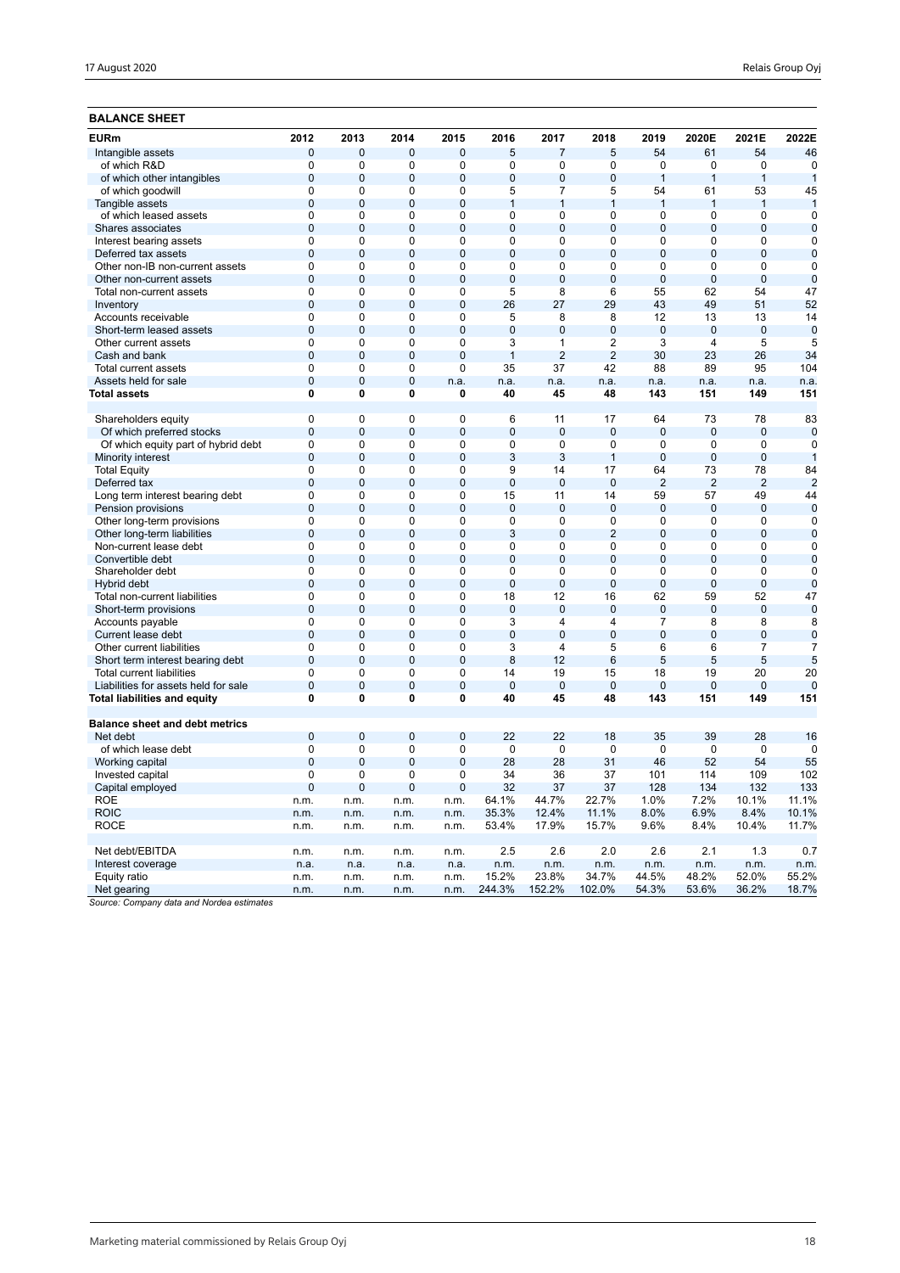| <b>BALANCE SHEET</b>                                                 |                                |                     |                     |                     |                      |                      |                      |                          |                       |                       |                 |
|----------------------------------------------------------------------|--------------------------------|---------------------|---------------------|---------------------|----------------------|----------------------|----------------------|--------------------------|-----------------------|-----------------------|-----------------|
| <b>EURm</b>                                                          | 2012                           | 2013                | 2014                | 2015                | 2016                 | 2017                 | 2018                 | 2019                     | 2020E                 | 2021E                 | 2022E           |
| Intangible assets                                                    | 0                              | 0                   | $\mathbf 0$         | $\mathbf 0$         | 5                    | 7                    | 5                    | 54                       | 61                    | 54                    | 46              |
| of which R&D                                                         | 0                              | 0                   | 0                   | 0                   | $\mathbf 0$          | 0                    | 0                    | 0                        | 0                     | 0                     | 0               |
| of which other intangibles                                           | $\mathbf 0$                    | 0                   | $\mathbf{0}$        | $\overline{0}$      | $\overline{0}$       | $\overline{0}$       | $\mathbf 0$          | $\mathbf{1}$             | $\mathbf{1}$          | $\mathbf{1}$          | $\mathbf{1}$    |
| of which goodwill                                                    | $\mathbf 0$                    | 0                   | $\mathbf 0$         | 0                   | 5                    | $\overline{7}$       | 5                    | 54                       | 61                    | 53                    | 45              |
| Tangible assets                                                      | $\overline{0}$                 | 0                   | $\mathbf 0$         | $\mathbf 0$         | $\mathbf{1}$         | $\mathbf{1}$         | 1                    | $\overline{1}$           | $\overline{1}$        | $\mathbf{1}$          | $\mathbf{1}$    |
| of which leased assets                                               | $\mathbf 0$                    | 0                   | $\Omega$            | 0                   | $\Omega$             | 0                    | $\Omega$             | 0                        | $\mathbf 0$           | $\mathbf 0$           | $\mathbf 0$     |
| Shares associates                                                    | $\Omega$                       | $\mathbf 0$         | $\overline{0}$      | $\overline{0}$      | $\overline{0}$       | $\overline{0}$       | $\Omega$             | $\Omega$                 | $\mathbf 0$           | $\mathbf 0$           | $\Omega$        |
| Interest bearing assets                                              | $\mathbf 0$                    | 0                   | $\mathbf 0$         | 0                   | $\mathbf 0$          | 0                    | 0                    | 0                        | 0                     | $\mathbf 0$           | 0               |
| Deferred tax assets                                                  | $\mathbf 0$                    | $\overline{0}$      | $\overline{0}$      | $\overline{0}$      | $\overline{0}$       | $\overline{0}$       | $\mathbf 0$          | $\mathbf{0}$             | $\overline{0}$        | $\overline{0}$        | $\mathbf 0$     |
| Other non-IB non-current assets                                      | 0                              | 0                   | $\mathbf 0$         | 0                   | 0                    | 0                    | 0                    | 0                        | 0                     | 0                     | $\mathbf 0$     |
| Other non-current assets                                             | $\mathbf 0$                    | $\mathbf 0$         | $\mathbf{0}$        | $\mathbf{0}$        | $\Omega$             | $\mathbf{0}$         | $\Omega$             | $\mathbf{0}$             | $\mathbf 0$           | $\mathbf 0$           | $\mathbf 0$     |
| Total non-current assets                                             | $\Omega$                       | 0                   | $\Omega$            | 0                   | 5                    | 8                    | 6                    | 55                       | 62                    | 54                    | 47              |
| Inventory                                                            | $\overline{0}$                 | $\overline{0}$      | $\overline{0}$      | $\overline{0}$      | 26                   | 27                   | 29                   | 43                       | 49                    | 51                    | 52              |
| Accounts receivable                                                  | $\mathbf 0$                    | 0                   | $\mathbf 0$         | 0                   | 5                    | 8                    | 8                    | 12                       | 13                    | 13                    | 14              |
| Short-term leased assets                                             | $\mathbf 0$                    | 0                   | $\mathbf 0$         | $\mathbf 0$         | $\mathbf 0$          | $\mathbf 0$          | $\overline{0}$       | $\mathbf 0$              | $\mathbf 0$           | $\mathbf 0$           | $\mathbf 0$     |
| Other current assets                                                 | $\mathbf 0$                    | 0                   | $\mathbf 0$         | 0                   | 3                    | $\mathbf{1}$         | $\overline{2}$       | 3                        | $\overline{4}$        | 5                     | 5               |
| Cash and bank                                                        | $\mathbf 0$                    | $\mathbf 0$         | $\mathbf{0}$        | $\mathbf{0}$        | $\mathbf{1}$         | $\overline{2}$       | 2                    | 30                       | 23                    | 26                    | 34              |
| <b>Total current assets</b>                                          | $\Omega$                       | 0                   | $\Omega$            | 0                   | 35                   | 37                   | 42                   | 88                       | 89                    | 95                    | 104             |
| Assets held for sale                                                 | $\overline{0}$                 | $\overline{0}$      | $\overline{0}$      | n.a.                | n.a.                 | n.a.                 | n.a.                 | n.a.                     | n.a.                  | n.a.                  | n.a.            |
| <b>Total assets</b>                                                  | 0                              | 0                   | $\bf{0}$            | 0                   | 40                   | 45                   | 48                   | 143                      | 151                   | 149                   | 151             |
| Shareholders equity                                                  | $\mathbf 0$                    | 0                   | $\mathbf 0$         | 0                   | 6                    | 11                   | 17                   | 64                       | 73                    | 78                    | 83              |
| Of which preferred stocks                                            | $\Omega$                       | $\mathbf 0$         | $\mathbf{0}$        | $\overline{0}$      | $\mathbf 0$          | $\mathbf 0$          | $\Omega$             | $\mathbf{0}$             | $\mathbf 0$           | $\mathbf 0$           | $\Omega$        |
| Of which equity part of hybrid debt                                  | $\mathbf 0$                    | 0                   | $\mathbf 0$         | 0                   | $\mathbf 0$          | 0                    | $\mathbf 0$          | 0                        | 0                     | $\mathbf 0$           | 0               |
| Minority interest                                                    | $\overline{0}$                 | $\overline{0}$      | $\overline{0}$      | $\overline{0}$      | 3                    | 3                    | 1                    | $\overline{0}$           | $\overline{0}$        | $\overline{0}$        |                 |
| <b>Total Equity</b>                                                  | $\mathbf 0$                    | 0                   | $\Omega$            | 0                   | 9                    | 14                   | 17                   | 64                       | 73                    | 78                    | 84              |
| Deferred tax                                                         | $\mathbf 0$                    | $\mathbf 0$         | $\overline{0}$      | $\mathbf 0$         | $\overline{0}$       | $\mathbf 0$          | $\mathbf 0$          | $\overline{2}$           | $\overline{2}$        | $\overline{2}$        | $\overline{2}$  |
| Long term interest bearing debt                                      | $\mathbf 0$                    | 0                   | $\mathbf 0$         | 0                   | 15                   | 11                   | 14                   | 59                       | 57                    | 49                    | 44              |
| Pension provisions                                                   | $\mathbf 0$                    | $\overline{0}$      | $\overline{0}$      | $\overline{0}$      | $\mathbf{0}$         | $\mathbf{0}$         | $\mathbf{0}$         | $\mathbf{0}$             | $\mathbf{0}$          | $\mathbf 0$           | $\mathbf 0$     |
| Other long-term provisions                                           | $\mathbf 0$                    | 0                   | $\mathbf 0$         | 0                   | $\mathbf 0$          | 0                    | 0                    | 0                        | 0                     | $\mathbf 0$           | $\Omega$        |
| Other long-term liabilities                                          | $\mathbf 0$                    | $\overline{0}$      | $\overline{0}$      | $\overline{0}$      | 3                    | $\overline{0}$       | $\overline{2}$       | $\overline{0}$           | $\overline{0}$        | $\overline{0}$        | $\mathbf 0$     |
| Non-current lease debt                                               | $\mathbf 0$                    | 0                   | $\Omega$            | 0                   | 0                    | 0                    | 0                    | 0                        | 0                     | $\mathbf 0$           | $\mathbf 0$     |
| Convertible debt                                                     | $\overline{0}$                 | $\overline{0}$      | $\overline{0}$      | $\mathbf 0$         | $\overline{0}$       | $\overline{0}$       | $\Omega$             | $\overline{0}$           | $\overline{0}$        | $\overline{0}$        | $\overline{0}$  |
| Shareholder debt                                                     | $\mathbf 0$                    | 0                   | $\mathbf 0$         | 0                   | $\mathbf 0$          | 0                    | 0                    | 0                        | 0                     | 0                     | 0               |
| Hybrid debt                                                          | $\mathbf 0$                    | $\overline{0}$      | $\mathbf{0}$        | $\overline{0}$      | $\mathbf 0$          | $\overline{0}$       | $\mathbf 0$          | $\mathbf{0}$             | $\overline{0}$        | $\mathbf 0$           | $\mathbf 0$     |
| Total non-current liabilities                                        | $\mathbf 0$                    | 0                   | $\mathbf 0$         | 0                   | 18                   | 12                   | 16                   | 62                       | 59                    | 52                    | 47              |
| Short-term provisions                                                | $\mathbf 0$                    | $\overline{0}$      | $\mathbf 0$         | $\mathbf 0$         | $\mathbf 0$          | $\mathbf 0$          | $\mathbf 0$          | $\mathbf 0$              | $\mathbf{0}$          | $\mathbf 0$           | $\mathbf 0$     |
| Accounts payable                                                     | $\pmb{0}$                      | 0                   | $\mathbf 0$         | 0                   | 3                    | 4                    | $\overline{4}$       | $\overline{\mathcal{I}}$ | 8                     | 8                     | 8               |
| Current lease debt                                                   | $\Omega$                       | $\overline{0}$      | $\overline{0}$      | $\overline{0}$      | $\overline{0}$       | $\overline{0}$       | $\overline{0}$       | $\overline{0}$           | $\overline{0}$        | $\mathbf 0$           | $\Omega$        |
| Other current liabilities                                            | 0                              | 0                   | $\mathbf 0$         | 0                   | 3                    | 4                    | 5                    | 6                        | 6                     | $\overline{7}$        | 7               |
| Short term interest bearing debt                                     | $\mathbf 0$                    | $\overline{0}$      | $\overline{0}$      | $\overline{0}$      | 8                    | 12                   | 6                    | 5                        | 5                     | 5                     | 5               |
| <b>Total current liabilities</b>                                     | $\mathbf 0$                    | 0                   | $\mathbf 0$         | 0                   | 14                   | 19                   | 15                   | 18                       | 19                    | 20                    | 20              |
| Liabilities for assets held for sale<br>Total liabilities and equity | $\overline{0}$<br>$\mathbf{0}$ | $\overline{0}$<br>0 | $\overline{0}$<br>0 | $\overline{0}$<br>0 | $\overline{0}$<br>40 | $\overline{0}$<br>45 | $\overline{0}$<br>48 | $\mathbf{0}$<br>143      | $\overline{0}$<br>151 | $\overline{0}$<br>149 | $\Omega$<br>151 |
| <b>Balance sheet and debt metrics</b>                                |                                |                     |                     |                     |                      |                      |                      |                          |                       |                       |                 |
| Net debt                                                             | $\mathbf 0$                    | 0                   | $\mathbf 0$         | $\mathbf 0$         | 22                   | 22                   | 18                   | 35                       | 39                    | 28                    | 16              |
| of which lease debt                                                  | 0                              | 0                   | $\mathbf 0$         | 0                   | $\mathbf 0$          | 0                    | $\mathbf 0$          | 0                        | 0                     | 0                     | 0               |
| Working capital                                                      | $\mathbf 0$                    | $\overline{0}$      | $\mathbf 0$         | $\mathbf{0}$        | 28                   | 28                   | 31                   | 46                       | 52                    | 54                    | 55              |
| Invested capital                                                     | $\Omega$                       | 0                   | $\Omega$            | $\Omega$            | 34                   | 36                   | 37                   | 101                      | 114                   | 109                   | 102             |
| Capital employed                                                     | 0                              | $\mathbf 0$         | $\mathbf 0$         | 0                   | 32                   | 37                   | 37                   | 128                      | 134                   | 132                   | 133             |
| <b>ROE</b>                                                           | n.m.                           | n.m.                | n.m.                | n.m.                | 64.1%                | 44.7%                | 22.7%                | 1.0%                     | 7.2%                  | 10.1%                 | 11.1%           |
| <b>ROIC</b>                                                          | n.m.                           | n.m.                | n.m.                | n.m.                | 35.3%                | 12.4%                | 11.1%                | 8.0%                     | 6.9%                  | 8.4%                  | 10.1%           |
| <b>ROCE</b>                                                          | n.m.                           | n.m.                | n.m.                | n.m.                | 53.4%                | 17.9%                | 15.7%                | 9.6%                     | 8.4%                  | 10.4%                 | 11.7%           |
|                                                                      |                                |                     |                     |                     |                      |                      |                      |                          |                       |                       |                 |
| Net debt/EBITDA                                                      | n.m.                           | n.m.                | n.m.                | n.m.                | 2.5                  | 2.6                  | 2.0                  | 2.6                      | 2.1                   | 1.3                   | 0.7             |
| Interest coverage                                                    | n.a.                           | n.a.                | n.a.                | n.a.                | n.m.                 | n.m.                 | n.m.                 | n.m.                     | n.m.                  | n.m.                  | n.m.            |
| Equity ratio                                                         | n.m.                           | n.m.                | n.m.                | n.m.                | 15.2%                | 23.8%                | 34.7%                | 44.5%                    | 48.2%                 | 52.0%                 | 55.2%           |
| Net gearing                                                          | n.m.                           | n.m.                | n.m.                | n.m.                | 244.3%               | 152.2%               | 102.0%               | 54.3%                    | 53.6%                 | 36.2%                 | 18.7%           |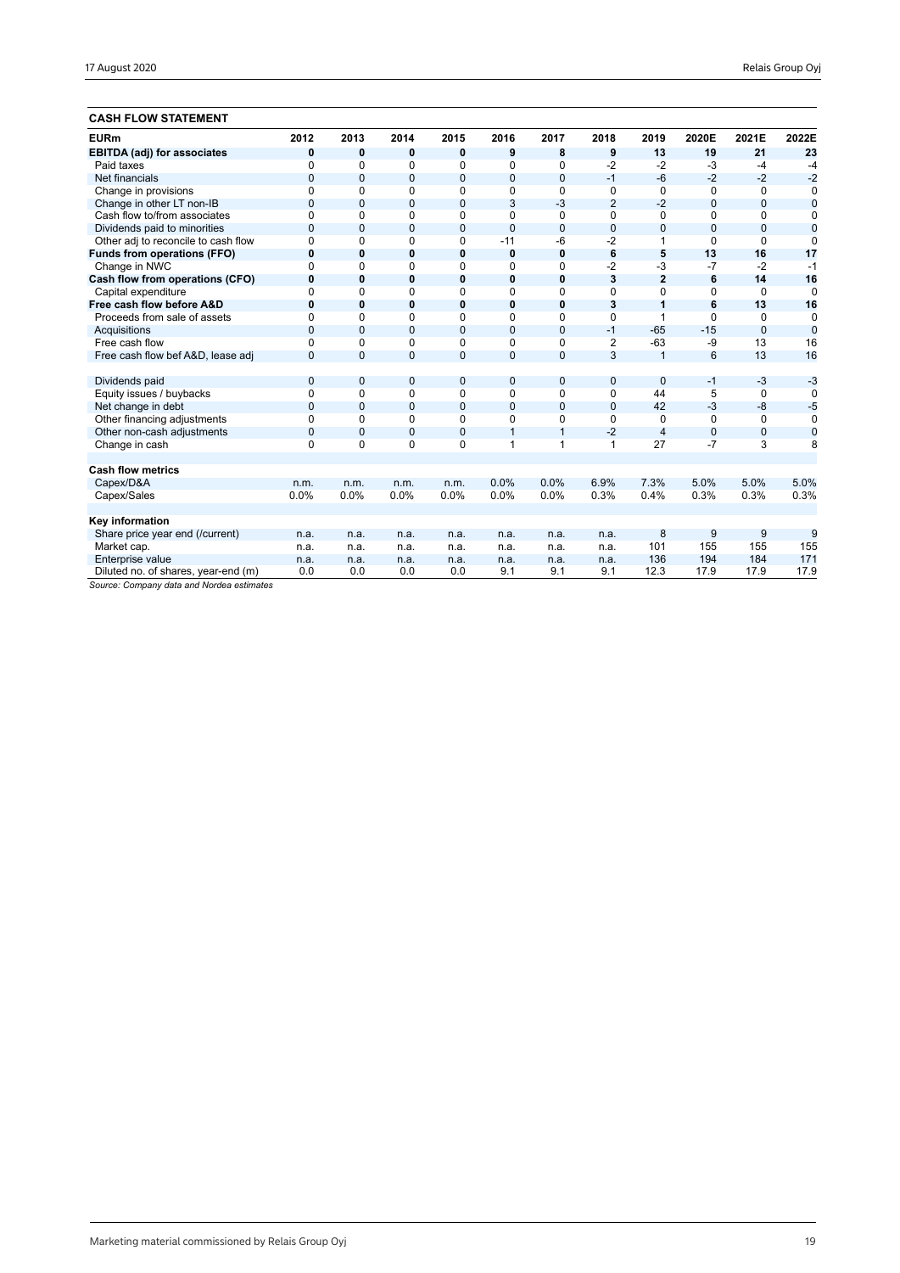### **CASH FLOW STATEMENT**

| UMJN FLUW JIMIEWENI                 |                |                |              |              |              |              |                |                |              |                |                |
|-------------------------------------|----------------|----------------|--------------|--------------|--------------|--------------|----------------|----------------|--------------|----------------|----------------|
| <b>EURm</b>                         | 2012           | 2013           | 2014         | 2015         | 2016         | 2017         | 2018           | 2019           | 2020E        | 2021E          | 2022E          |
| <b>EBITDA (adj) for associates</b>  | 0              | 0              | 0            | $\mathbf 0$  | 9            | 8            | 9              | 13             | 19           | 21             | 23             |
| Paid taxes                          | 0              | 0              | 0            | $\Omega$     | 0            | 0            | $-2$           | $-2$           | $-3$         | $-4$           | -4             |
| Net financials                      | 0              | $\mathbf 0$    | $\mathbf{0}$ | $\mathbf{0}$ | $\mathbf{0}$ | $\mathbf{0}$ | $-1$           | $-6$           | $-2$         | $-2$           | $-2$           |
| Change in provisions                | 0              | 0              | 0            | 0            | 0            | 0            | 0              | $\Omega$       | 0            | 0              | $\Omega$       |
| Change in other LT non-IB           | 0              | 0              | $\mathbf{0}$ | $\mathbf 0$  | 3            | $-3$         | $\overline{2}$ | $-2$           | $\mathbf{0}$ | $\overline{0}$ | $\overline{0}$ |
| Cash flow to/from associates        | 0              | 0              | 0            | 0            | 0            | 0            | 0              | 0              | 0            | 0              | 0              |
| Dividends paid to minorities        | 0              | $\mathbf 0$    | $\mathbf{0}$ | $\mathbf{0}$ | $\mathbf{0}$ | $\mathbf{0}$ | $\mathbf 0$    | $\mathbf{0}$   | $\mathbf{0}$ | $\mathbf{0}$   | $\mathbf 0$    |
| Other adj to reconcile to cash flow | 0              | 0              | 0            | 0            | $-11$        | $-6$         | $-2$           |                | $\Omega$     | $\Omega$       | 0              |
| <b>Funds from operations (FFO)</b>  | 0              | $\bf{0}$       | $\bf{0}$     | $\mathbf 0$  | $\bf{0}$     | 0            | 6              | 5              | 13           | 16             | 17             |
| Change in NWC                       | 0              | 0              | 0            | 0            | $\Omega$     | 0            | $-2$           | -3             | $-7$         | $-2$           | $-1$           |
| Cash flow from operations (CFO)     | 0              | 0              | 0            | $\mathbf 0$  | 0            | 0            | 3              | $\overline{2}$ | 6            | 14             | 16             |
| Capital expenditure                 | 0              | 0              | 0            | 0            | $\Omega$     | 0            | 0              | $\Omega$       | 0            | $\mathbf 0$    | $\mathbf 0$    |
| Free cash flow before A&D           | 0              | 0              | 0            | $\bf{0}$     | 0            | 0            | 3              | 1              | 6            | 13             | 16             |
| Proceeds from sale of assets        | <sup>0</sup>   | 0              | 0            | $\Omega$     | $\Omega$     | $\Omega$     | 0              | 1              | $\Omega$     | $\Omega$       | $\Omega$       |
| Acquisitions                        | 0              | $\overline{0}$ | $\mathbf{0}$ | $\mathbf 0$  | $\Omega$     | $\mathbf 0$  | $-1$           | $-65$          | $-15$        | $\Omega$       | 0              |
| Free cash flow                      | 0              | 0              | $\Omega$     | $\mathbf 0$  | $\Omega$     | 0            | $\overline{2}$ | $-63$          | $-9$         | 13             | 16             |
| Free cash flow bef A&D, lease adj   | $\overline{0}$ | 0              | $\mathbf{0}$ | $\mathbf{0}$ | $\Omega$     | $\mathbf{0}$ | 3              | $\overline{1}$ | 6            | 13             | 16             |
|                                     |                |                |              |              |              |              |                |                |              |                |                |
| Dividends paid                      | $\mathbf{0}$   | 0              | 0            | $\mathbf{0}$ | $\mathbf{0}$ | $\mathbf{0}$ | 0              | $\Omega$       | $-1$         | $-3$           | $-3$           |
| Equity issues / buybacks            | 0              | 0              | 0            | 0            | $\Omega$     | 0            | 0              | 44             | 5            | 0              | $\Omega$       |
| Net change in debt                  | $\Omega$       | $\overline{0}$ | $\Omega$     | $\mathbf{0}$ | $\Omega$     | $\mathbf{0}$ | $\Omega$       | 42             | $-3$         | $-8$           | $-5$           |
| Other financing adjustments         | 0              | 0              | 0            | 0            | 0            | 0            | 0              | 0              | $\Omega$     | 0              | $\Omega$       |
| Other non-cash adjustments          | 0              | $\mathbf 0$    | $\mathbf{0}$ | $\mathbf 0$  | $\mathbf{1}$ | $\mathbf{1}$ | $-2$           | $\overline{4}$ | $\mathbf{0}$ | $\mathbf{0}$   | $\mathbf 0$    |
| Change in cash                      | 0              | 0              | 0            | 0            | $\mathbf{1}$ | $\mathbf{1}$ | 1              | 27             | $-7$         | 3              | 8              |
|                                     |                |                |              |              |              |              |                |                |              |                |                |
| <b>Cash flow metrics</b>            |                |                |              |              |              |              |                |                |              |                |                |
| Capex/D&A                           | n.m.           | n.m.           | n.m.         | n.m.         | 0.0%         | 0.0%         | 6.9%           | 7.3%           | 5.0%         | 5.0%           | 5.0%           |
| Capex/Sales                         | 0.0%           | 0.0%           | 0.0%         | 0.0%         | 0.0%         | 0.0%         | 0.3%           | 0.4%           | 0.3%         | 0.3%           | 0.3%           |
|                                     |                |                |              |              |              |              |                |                |              |                |                |
| Key information                     |                |                |              |              |              |              |                |                |              |                |                |
| Share price year end (/current)     | n.a.           | n.a.           | n.a.         | n.a.         | n.a.         | n.a.         | n.a.           | 8              | 9            | 9              | 9              |
| Market cap.                         | n.a.           | n.a.           | n.a.         | n.a.         | n.a.         | n.a.         | n.a.           | 101            | 155          | 155            | 155            |
| Enterprise value                    | n.a.           | n.a.           | n.a.         | n.a.         | n.a.         | n.a.         | n.a.           | 136            | 194          | 184            | 171            |
| Diluted no. of shares, year-end (m) | 0.0            | 0.0            | 0.0          | 0.0          | 9.1          | 9.1          | 9.1            | 12.3           | 17.9         | 17.9           | 17.9           |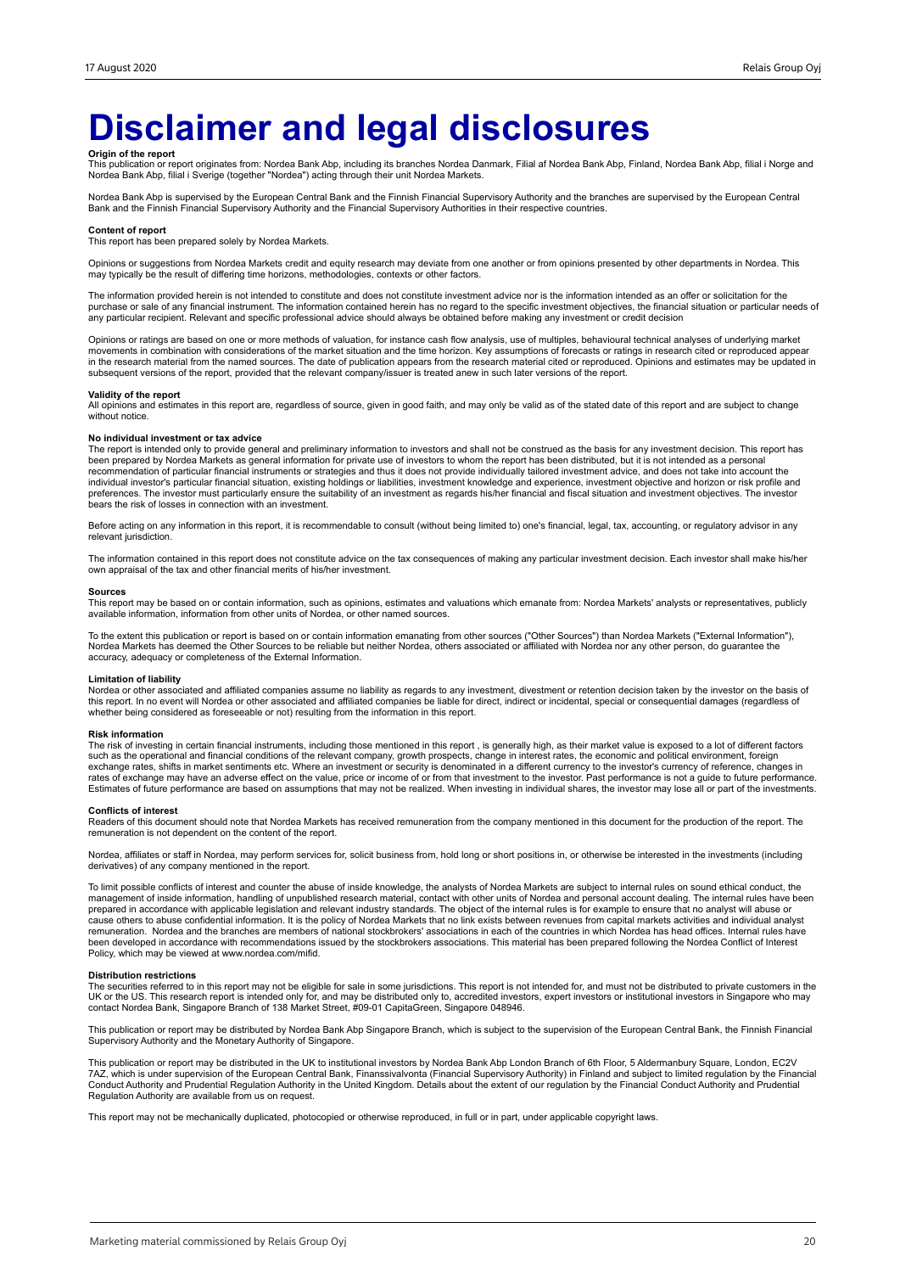## **Disclaimer and legal disclosures**

**Origin of the report**<br>This publication or report originates from: Nordea Bank Abp, including its branches Nordea Danmark, Filial af Nordea Bank Abp, Finland, Nordea Bank Abp, filial i Norge and<br>Nordea Bank Abp, filial i S

Nordea Bank Abp is supervised by the European Central Bank and the Finnish Financial Supervisory Authority and the branches are supervised by the European Central Bank and the Finnish Financial Supervisory Authority and the Financial Supervisory Authorities in their respective countries.

#### **Content of report**

This report has been prepared solely by Nordea Markets.

Opinions or suggestions from Nordea Markets credit and equity research may deviate from one another or from opinions presented by other departments in Nordea. This may typically be the result of differing time horizons, methodologies, contexts or other factors.

The information provided herein is not intended to constitute and does not constitute investment advice nor is the information intended as an offer or solicitation for the purchase or sale of any financial instrument. The information contained herein has no regard to the specific investment objectives, the financial situation or particular needs of any particular recipient. Relevant and specific professional advice should always be obtained before making any investment or credit decision

Opinions or ratings are based on one or more methods of valuation, for instance cash flow analysis, use of multiples, behavioural technical analyses of underlying market movements in combination with considerations of the market situation and the time horizon. Key assumptions of forecasts or ratings in research cited or reproduced appear<br>in the research material from the named sources. The subsequent versions of the report, provided that the relevant company/issuer is treated anew in such later versions of the report.

#### **Validity of the report**

All opinions and estimates in this report are, regardless of source, given in good faith, and may only be valid as of the stated date of this report and are subject to change without notice.

#### **No individual investment or tax advice**

The report is intended only to provide general and preliminary information to investors and shall not be construed as the basis for any investment decision. This report has<br>been prepared by Nordea Markets as general inform individual investor's particular financial situation, existing holdings or liabilities, investment knowledge and experience, investment objective and horizon or risk profile and<br>preferences. The investor must particularly bears the risk of losses in connection with an investment.

Before acting on any information in this report, it is recommendable to consult (without being limited to) one's financial, legal, tax, accounting, or regulatory advisor in any relevant jurisdiction.

The information contained in this report does not constitute advice on the tax consequences of making any particular investment decision. Each investor shall make his/her own appraisal of the tax and other financial merits of his/her investment.

#### **Sources**

This report may be based on or contain information, such as opinions, estimates and valuations which emanate from: Nordea Markets' analysts or representatives, publicly available information, information from other units of Nordea, or other named sources.

To the extent this publication or report is based on or contain information emanating from other sources ("Other Sources") than Nordea Markets ("External Information"),<br>Nordea Markets has deemed the Other Sources to be rel accuracy, adequacy or completeness of the External Information.

#### **Limitation of liability**

Nordea or other associated and affiliated companies assume no liability as regards to any investment, divestment or retention decision taken by the investor on the basis of<br>this report. In no event will Nordea or other ass whether being considered as foreseeable or not) resulting from the information in this report.

#### **Risk information**

The risk of investing in certain financial instruments, including those mentioned in this report , is generally high, as their market value is exposed to a lot of different factors<br>such as the operational and financial con exchange rates, shifts in market sentiments etc. Where an investment or security is denominated in a different currency to the investor's currency of reference, changes in<br>rates of exchange may have an adverse effect on th Estimates of future performance are based on assumptions that may not be realized. When investing in individual shares, the investor may lose all or part of the investments.

#### **Conflicts of interest**

Readers of this document should note that Nordea Markets has received remuneration from the company mentioned in this document for the production of the report. The remuneration is not dependent on the content of the report.

Nordea, affiliates or staff in Nordea, may perform services for, solicit business from, hold long or short positions in, or otherwise be interested in the investments (including derivatives) of any company mentioned in the report.

To limit possible conflicts of interest and counter the abuse of inside knowledge, the analysts of Nordea Markets are subject to internal rules on sound ethical conduct, the management of inside information, handling of unpublished research material, contact with other units of Nordea and personal account dealing. The internal rules have been<br>prepared in accordance with applicable legislation cause others to abuse confidential information. It is the policy of Nordea Markets that no link exists between revenues from capital markets activities and individual analyst remuneration. Nordea and the branches are members of national stockbrokers' associations in each of the countries in which Nordea has head offices. Internal rules have<br>been developed in accordance with recommendations issu Policy, which may be viewed at www.nordea.com/mifid.

#### **Distribution restrictions**

The securities referred to in this report may not be eligible for sale in some jurisdictions. This report is not intended for, and must not be distributed to private customers in the UK or the US. This research report is intended only for, and may be distributed only to, accredited investors, expert investors or institutional investors in Singapore who may<br>contact Nordea Bank, Singapore Branch of 138 M

This publication or report may be distributed by Nordea Bank Abp Singapore Branch, which is subject to the supervision of the European Central Bank, the Finnish Financial<br>Supervisory Authority and the Monetary Authority of

This publication or report may be distributed in the UK to institutional investors by Nordea Bank Abp London Branch of 6th Floor, 5 Aldermanbury Square, London, EC2V<br>7AZ, which is under supervision of the European Central Conduct Authority and Prudential Regulation Authority in the United Kingdom. Details about the extent of our regulation by the Financial Conduct Authority and Prudential<br>Regulation Authority are available from us on reques

This report may not be mechanically duplicated, photocopied or otherwise reproduced, in full or in part, under applicable copyright laws.